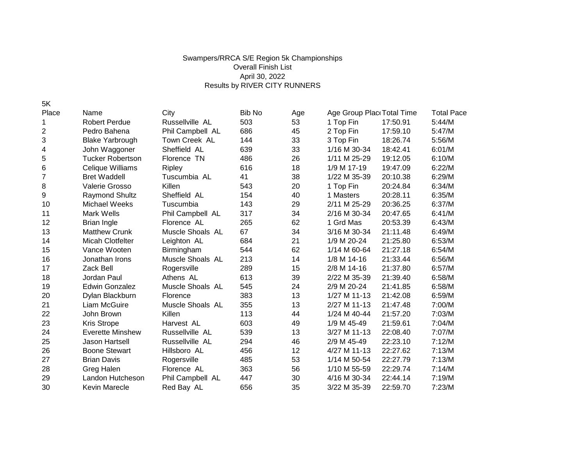## Swampers/RRCA S/E Region 5k Championships Overall Finish List April 30, 2022 Results by RIVER CITY RUNNERS

5K

| Place | Name                    | City             | <b>Bib No</b> | Age | Age Group Plac Total Time |          | <b>Total Pace</b> |
|-------|-------------------------|------------------|---------------|-----|---------------------------|----------|-------------------|
| 1     | <b>Robert Perdue</b>    | Russellville AL  | 503           | 53  | 1 Top Fin                 | 17:50.91 | 5:44/M            |
| 2     | Pedro Bahena            | Phil Campbell AL | 686           | 45  | 2 Top Fin                 | 17:59.10 | 5:47/M            |
| 3     | <b>Blake Yarbrough</b>  | Town Creek AL    | 144           | 33  | 3 Top Fin                 | 18:26.74 | 5:56/M            |
| 4     | John Waggoner           | Sheffield AL     | 639           | 33  | 1/16 M 30-34              | 18:42.41 | 6:01/M            |
| 5     | <b>Tucker Robertson</b> | Florence TN      | 486           | 26  | 1/11 M 25-29              | 19:12.05 | 6:10/M            |
| 6     | Celique Williams        | <b>Ripley</b>    | 616           | 18  | 1/9 M 17-19               | 19:47.09 | 6:22/M            |
| 7     | <b>Bret Waddell</b>     | Tuscumbia AL     | 41            | 38  | 1/22 M 35-39              | 20:10.38 | 6:29/M            |
| 8     | Valerie Grosso          | Killen           | 543           | 20  | 1 Top Fin                 | 20:24.84 | 6:34/M            |
| 9     | <b>Raymond Shultz</b>   | Sheffield AL     | 154           | 40  | 1 Masters                 | 20:28.11 | 6:35/M            |
| 10    | Michael Weeks           | Tuscumbia        | 143           | 29  | 2/11 M 25-29              | 20:36.25 | 6:37/M            |
| 11    | Mark Wells              | Phil Campbell AL | 317           | 34  | 2/16 M 30-34              | 20:47.65 | 6:41/M            |
| 12    | Brian Ingle             | Florence AL      | 265           | 62  | 1 Grd Mas                 | 20:53.39 | 6:43/M            |
| 13    | <b>Matthew Crunk</b>    | Muscle Shoals AL | 67            | 34  | 3/16 M 30-34              | 21:11.48 | 6:49/M            |
| 14    | Micah Clotfelter        | Leighton AL      | 684           | 21  | 1/9 M 20-24               | 21:25.80 | 6:53/M            |
| 15    | Vance Wooten            | Birmingham       | 544           | 62  | 1/14 M 60-64              | 21:27.18 | 6:54/M            |
| 16    | Jonathan Irons          | Muscle Shoals AL | 213           | 14  | 1/8 M 14-16               | 21:33.44 | 6:56/M            |
| 17    | Zack Bell               | Rogersville      | 289           | 15  | 2/8 M 14-16               | 21:37.80 | 6:57/M            |
| 18    | Jordan Paul             | Athens AL        | 613           | 39  | 2/22 M 35-39              | 21:39.40 | 6:58/M            |
| 19    | Edwin Gonzalez          | Muscle Shoals AL | 545           | 24  | 2/9 M 20-24               | 21:41.85 | 6:58/M            |
| 20    | Dylan Blackburn         | Florence         | 383           | 13  | 1/27 M 11-13              | 21:42.08 | 6:59/M            |
| 21    | Liam McGuire            | Muscle Shoals AL | 355           | 13  | 2/27 M 11-13              | 21:47.48 | 7:00/M            |
| 22    | John Brown              | Killen           | 113           | 44  | 1/24 M 40-44              | 21:57.20 | 7:03/M            |
| 23    | Kris Strope             | Harvest AL       | 603           | 49  | 1/9 M 45-49               | 21:59.61 | 7:04/M            |
| 24    | <b>Everette Minshew</b> | Russellville AL  | 539           | 13  | 3/27 M 11-13              | 22:08.40 | 7:07/M            |
| 25    | Jason Hartsell          | Russellville AL  | 294           | 46  | 2/9 M 45-49               | 22:23.10 | 7:12/M            |
| 26    | <b>Boone Stewart</b>    | Hillsboro AL     | 456           | 12  | 4/27 M 11-13              | 22:27.62 | 7:13/M            |
| 27    | <b>Brian Davis</b>      | Rogersville      | 485           | 53  | 1/14 M 50-54              | 22:27.79 | 7:13/M            |
| 28    | Greg Halen              | Florence AL      | 363           | 56  | 1/10 M 55-59              | 22:29.74 | 7:14/M            |
| 29    | Landon Hutcheson        | Phil Campbell AL | 447           | 30  | 4/16 M 30-34              | 22:44.14 | 7:19/M            |
| 30    | Kevin Marecle           | Red Bay AL       | 656           | 35  | 3/22 M 35-39              | 22:59.70 | 7:23/M            |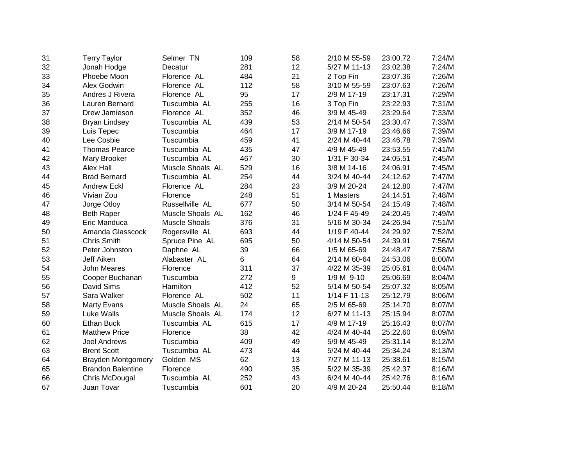| 31 | <b>Terry Taylor</b>       | Selmer TN            | 109 | 58 | 2/10 M 55-59 | 23:00.72 | 7:24/M |
|----|---------------------------|----------------------|-----|----|--------------|----------|--------|
| 32 | Jonah Hodge               | Decatur              | 281 | 12 | 5/27 M 11-13 | 23:02.38 | 7:24/M |
| 33 | Phoebe Moon               | Florence AL          | 484 | 21 | 2 Top Fin    | 23:07.36 | 7:26/M |
| 34 | Alex Godwin               | Florence AL          | 112 | 58 | 3/10 M 55-59 | 23:07.63 | 7:26/M |
| 35 | Andres J Rivera           | Florence AL          | 95  | 17 | 2/9 M 17-19  | 23:17.31 | 7:29/M |
| 36 | Lauren Bernard            | Tuscumbia AL         | 255 | 16 | 3 Top Fin    | 23:22.93 | 7:31/M |
| 37 | Drew Jamieson             | Florence AL          | 352 | 46 | 3/9 M 45-49  | 23:29.64 | 7:33/M |
| 38 | <b>Bryan Lindsey</b>      | Tuscumbia AL         | 439 | 53 | 2/14 M 50-54 | 23:30.47 | 7:33/M |
| 39 | Luis Tepec                | Tuscumbia            | 464 | 17 | 3/9 M 17-19  | 23:46.66 | 7:39/M |
| 40 | Lee Cosbie                | Tuscumbia            | 459 | 41 | 2/24 M 40-44 | 23:46.78 | 7:39/M |
| 41 | <b>Thomas Pearce</b>      | Tuscumbia AL         | 435 | 47 | 4/9 M 45-49  | 23:53.55 | 7:41/M |
| 42 | Mary Brooker              | Tuscumbia AL         | 467 | 30 | 1/31 F 30-34 | 24:05.51 | 7:45/M |
| 43 | Alex Hall                 | Muscle Shoals AL     | 529 | 16 | 3/8 M 14-16  | 24:06.91 | 7:45/M |
| 44 | <b>Brad Bernard</b>       | Tuscumbia AL         | 254 | 44 | 3/24 M 40-44 | 24:12.62 | 7:47/M |
| 45 | <b>Andrew Eckl</b>        | Florence AL          | 284 | 23 | 3/9 M 20-24  | 24:12.80 | 7:47/M |
| 46 | Vivian Zou                | Florence             | 248 | 51 | 1 Masters    | 24:14.51 | 7:48/M |
| 47 | Jorge Otloy               | Russellville AL      | 677 | 50 | 3/14 M 50-54 | 24:15.49 | 7:48/M |
| 48 | <b>Beth Raper</b>         | Muscle Shoals AL     | 162 | 46 | 1/24 F 45-49 | 24:20.45 | 7:49/M |
| 49 | Eric Manduca              | <b>Muscle Shoals</b> | 376 | 31 | 5/16 M 30-34 | 24:26.94 | 7:51/M |
| 50 | Amanda Glasscock          | Rogersville AL       | 693 | 44 | 1/19 F 40-44 | 24:29.92 | 7:52/M |
| 51 | <b>Chris Smith</b>        | Spruce Pine AL       | 695 | 50 | 4/14 M 50-54 | 24:39.91 | 7:56/M |
| 52 | Peter Johnston            | Daphne AL            | 39  | 66 | 1/5 M 65-69  | 24:48.47 | 7:58/M |
| 53 | Jeff Aiken                | Alabaster AL         | 6   | 64 | 2/14 M 60-64 | 24:53.06 | 8:00/M |
| 54 | <b>John Meares</b>        | Florence             | 311 | 37 | 4/22 M 35-39 | 25:05.61 | 8:04/M |
| 55 | Cooper Buchanan           | Tuscumbia            | 272 | 9  | 1/9 M 9-10   | 25:06.69 | 8:04/M |
| 56 | David Sims                | Hamilton             | 412 | 52 | 5/14 M 50-54 | 25:07.32 | 8:05/M |
| 57 | Sara Walker               | Florence AL          | 502 | 11 | 1/14 F 11-13 | 25:12.79 | 8:06/M |
| 58 | <b>Marty Evans</b>        | Muscle Shoals AL     | 24  | 65 | 2/5 M 65-69  | 25:14.70 | 8:07/M |
| 59 | Luke Walls                | Muscle Shoals AL     | 174 | 12 | 6/27 M 11-13 | 25:15.94 | 8:07/M |
| 60 | <b>Ethan Buck</b>         | Tuscumbia AL         | 615 | 17 | 4/9 M 17-19  | 25:16.43 | 8:07/M |
| 61 | <b>Matthew Price</b>      | Florence             | 38  | 42 | 4/24 M 40-44 | 25:22.60 | 8:09/M |
| 62 | <b>Joel Andrews</b>       | Tuscumbia            | 409 | 49 | 5/9 M 45-49  | 25:31.14 | 8:12/M |
| 63 | <b>Brent Scott</b>        | Tuscumbia AL         | 473 | 44 | 5/24 M 40-44 | 25:34.24 | 8:13/M |
| 64 | <b>Brayden Montgomery</b> | Golden MS            | 62  | 13 | 7/27 M 11-13 | 25:38.61 | 8:15/M |
| 65 | <b>Brandon Balentine</b>  | Florence             | 490 | 35 | 5/22 M 35-39 | 25:42.37 | 8:16/M |
| 66 | Chris McDougal            | Tuscumbia AL         | 252 | 43 | 6/24 M 40-44 | 25:42.76 | 8:16/M |
| 67 | Juan Tovar                | Tuscumbia            | 601 | 20 | 4/9 M 20-24  | 25:50.44 | 8:18/M |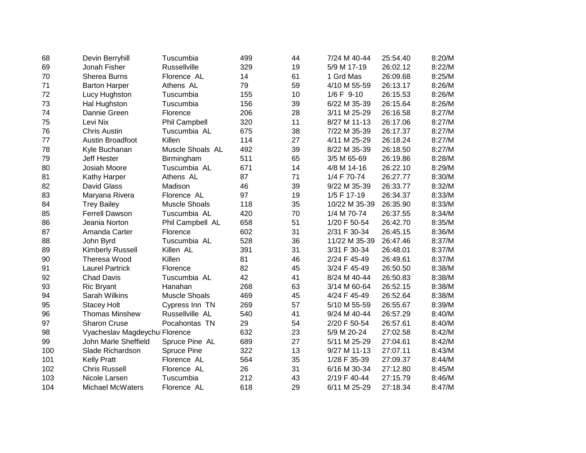| 68  | Devin Berryhill                | Tuscumbia            | 499 | 44 | 7/24 M 40-44   | 25:54.40 | 8:20/M |
|-----|--------------------------------|----------------------|-----|----|----------------|----------|--------|
| 69  | Jonah Fisher                   | <b>Russellville</b>  | 329 | 19 | 5/9 M 17-19    | 26:02.12 | 8:22/M |
| 70  | Sherea Burns                   | Florence AL          | 14  | 61 | 1 Grd Mas      | 26:09.68 | 8:25/M |
| 71  | <b>Barton Harper</b>           | Athens AL            | 79  | 59 | 4/10 M 55-59   | 26:13.17 | 8:26/M |
| 72  | Lucy Hughston                  | Tuscumbia            | 155 | 10 | $1/6$ F $9-10$ | 26:15.53 | 8:26/M |
| 73  | Hal Hughston                   | Tuscumbia            | 156 | 39 | 6/22 M 35-39   | 26:15.64 | 8:26/M |
| 74  | Dannie Green                   | Florence             | 206 | 28 | 3/11 M 25-29   | 26:16.58 | 8:27/M |
| 75  | Levi Nix                       | <b>Phil Campbell</b> | 320 | 11 | 8/27 M 11-13   | 26:17.06 | 8:27/M |
| 76  | <b>Chris Austin</b>            | Tuscumbia AL         | 675 | 38 | 7/22 M 35-39   | 26:17.37 | 8:27/M |
| 77  | <b>Austin Broadfoot</b>        | Killen               | 114 | 27 | 4/11 M 25-29   | 26:18.24 | 8:27/M |
| 78  | Kyle Buchanan                  | Muscle Shoals AL     | 492 | 39 | 8/22 M 35-39   | 26:18.50 | 8:27/M |
| 79  | <b>Jeff Hester</b>             | Birmingham           | 511 | 65 | 3/5 M 65-69    | 26:19.86 | 8:28/M |
| 80  | Josiah Moore                   | Tuscumbia AL         | 671 | 14 | 4/8 M 14-16    | 26:22.10 | 8:29/M |
| 81  | Kathy Harper                   | Athens AL            | 87  | 71 | 1/4 F 70-74    | 26:27.77 | 8:30/M |
| 82  | David Glass                    | Madison              | 46  | 39 | 9/22 M 35-39   | 26:33.77 | 8:32/M |
| 83  | Maryana Rivera                 | Florence AL          | 97  | 19 | 1/5 F 17-19    | 26:34.37 | 8:33/M |
| 84  | <b>Trey Bailey</b>             | <b>Muscle Shoals</b> | 118 | 35 | 10/22 M 35-39  | 26:35.90 | 8:33/M |
| 85  | Ferrell Dawson                 | Tuscumbia AL         | 420 | 70 | 1/4 M 70-74    | 26:37.55 | 8:34/M |
| 86  | Jeania Norton                  | Phil Campbell AL     | 658 | 51 | 1/20 F 50-54   | 26:42.70 | 8:35/M |
| 87  | Amanda Carter                  | Florence             | 602 | 31 | 2/31 F 30-34   | 26:45.15 | 8:36/M |
| 88  | John Byrd                      | Tuscumbia AL         | 528 | 36 | 11/22 M 35-39  | 26:47.46 | 8:37/M |
| 89  | Kimberly Russell               | Killen AL            | 391 | 31 | 3/31 F 30-34   | 26:48.01 | 8:37/M |
| 90  | Theresa Wood                   | Killen               | 81  | 46 | 2/24 F 45-49   | 26:49.61 | 8:37/M |
| 91  | <b>Laurel Partrick</b>         | Florence             | 82  | 45 | 3/24 F 45-49   | 26:50.50 | 8:38/M |
| 92  | <b>Chad Davis</b>              | Tuscumbia AL         | 42  | 41 | 8/24 M 40-44   | 26:50.83 | 8:38/M |
| 93  | <b>Ric Bryant</b>              | Hanahan              | 268 | 63 | 3/14 M 60-64   | 26:52.15 | 8:38/M |
| 94  | Sarah Wilkins                  | <b>Muscle Shoals</b> | 469 | 45 | 4/24 F 45-49   | 26:52.64 | 8:38/M |
| 95  | <b>Stacey Holt</b>             | Cypress Inn TN       | 269 | 57 | 5/10 M 55-59   | 26:55.67 | 8:39/M |
| 96  | <b>Thomas Minshew</b>          | Russellville AL      | 540 | 41 | 9/24 M 40-44   | 26:57.29 | 8:40/M |
| 97  | <b>Sharon Cruse</b>            | Pocahontas TN        | 29  | 54 | 2/20 F 50-54   | 26:57.61 | 8:40/M |
| 98  | Vyacheslav Magdeychul Florence |                      | 632 | 23 | 5/9 M 20-24    | 27:02.58 | 8:42/M |
| 99  | John Marle Sheffield           | Spruce Pine AL       | 689 | 27 | 5/11 M 25-29   | 27:04.61 | 8:42/M |
| 100 | Slade Richardson               | <b>Spruce Pine</b>   | 322 | 13 | 9/27 M 11-13   | 27:07.11 | 8:43/M |
| 101 | <b>Kelly Pratt</b>             | Florence AL          | 564 | 35 | 1/28 F 35-39   | 27:09.37 | 8:44/M |
| 102 | <b>Chris Russell</b>           | Florence AL          | 26  | 31 | 6/16 M 30-34   | 27:12.80 | 8:45/M |
| 103 | Nicole Larsen                  | Tuscumbia            | 212 | 43 | 2/19 F 40-44   | 27:15.79 | 8:46/M |
| 104 | <b>Michael McWaters</b>        | Florence AL          | 618 | 29 | 6/11 M 25-29   | 27:18.34 | 8:47/M |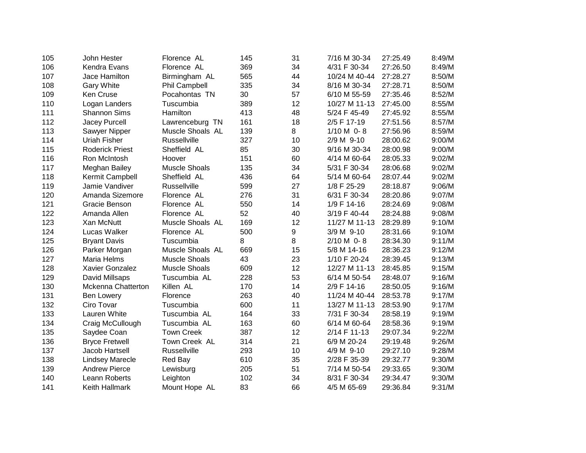| 105 | John Hester               | Florence AL          | 145 | 31 | 7/16 M 30-34  | 27:25.49 | 8:49/M |
|-----|---------------------------|----------------------|-----|----|---------------|----------|--------|
| 106 | Kendra Evans              | Florence AL          | 369 | 34 | 4/31 F 30-34  | 27:26.50 | 8:49/M |
| 107 | Jace Hamilton             | Birmingham AL        | 565 | 44 | 10/24 M 40-44 | 27:28.27 | 8:50/M |
| 108 | <b>Gary White</b>         | Phil Campbell        | 335 | 34 | 8/16 M 30-34  | 27:28.71 | 8:50/M |
| 109 | Ken Cruse                 | Pocahontas TN        | 30  | 57 | 6/10 M 55-59  | 27:35.46 | 8:52/M |
| 110 | Logan Landers             | Tuscumbia            | 389 | 12 | 10/27 M 11-13 | 27:45.00 | 8:55/M |
| 111 | <b>Shannon Sims</b>       | Hamilton             | 413 | 48 | 5/24 F 45-49  | 27:45.92 | 8:55/M |
| 112 | Jacey Purcell             | Lawrenceburg TN      | 161 | 18 | 2/5 F 17-19   | 27:51.56 | 8:57/M |
| 113 | Sawyer Nipper             | Muscle Shoals AL     | 139 | 8  | $1/10 M$ 0-8  | 27:56.96 | 8:59/M |
| 114 | Uriah Fisher              | <b>Russellville</b>  | 327 | 10 | 2/9 M 9-10    | 28:00.62 | 9:00/M |
| 115 | <b>Roderick Priest</b>    | Sheffield AL         | 85  | 30 | 9/16 M 30-34  | 28:00.98 | 9:00/M |
| 116 | Ron McIntosh              | Hoover               | 151 | 60 | 4/14 M 60-64  | 28:05.33 | 9:02/M |
| 117 | Meghan Bailey             | <b>Muscle Shoals</b> | 135 | 34 | 5/31 F 30-34  | 28:06.68 | 9:02/M |
| 118 | Kermit Campbell           | Sheffield AL         | 436 | 64 | 5/14 M 60-64  | 28:07.44 | 9:02/M |
| 119 | Jamie Vandiver            | Russellville         | 599 | 27 | 1/8 F 25-29   | 28:18.87 | 9:06/M |
| 120 | Amanda Sizemore           | Florence AL          | 276 | 31 | 6/31 F 30-34  | 28:20.86 | 9:07/M |
| 121 | Gracie Benson             | Florence AL          | 550 | 14 | 1/9 F 14-16   | 28:24.69 | 9:08/M |
| 122 | Amanda Allen              | Florence AL          | 52  | 40 | 3/19 F 40-44  | 28:24.88 | 9:08/M |
| 123 | Xan McNutt                | Muscle Shoals AL     | 169 | 12 | 11/27 M 11-13 | 28:29.89 | 9:10/M |
| 124 | Lucas Walker              | Florence AL          | 500 | 9  | 3/9 M 9-10    | 28:31.66 | 9:10/M |
| 125 | <b>Bryant Davis</b>       | Tuscumbia            | 8   | 8  | $2/10 M$ 0-8  | 28:34.30 | 9:11/M |
| 126 | Parker Morgan             | Muscle Shoals AL     | 669 | 15 | 5/8 M 14-16   | 28:36.23 | 9:12/M |
| 127 | Maria Helms               | <b>Muscle Shoals</b> | 43  | 23 | 1/10 F 20-24  | 28:39.45 | 9:13/M |
| 128 | <b>Xavier Gonzalez</b>    | <b>Muscle Shoals</b> | 609 | 12 | 12/27 M 11-13 | 28:45.85 | 9:15/M |
| 129 | David Millsaps            | Tuscumbia AL         | 228 | 53 | 6/14 M 50-54  | 28:48.07 | 9:16/M |
| 130 | <b>Mckenna Chatterton</b> | Killen AL            | 170 | 14 | 2/9 F 14-16   | 28:50.05 | 9:16/M |
| 131 | <b>Ben Lowery</b>         | Florence             | 263 | 40 | 11/24 M 40-44 | 28:53.78 | 9:17/M |
| 132 | Ciro Tovar                | Tuscumbia            | 600 | 11 | 13/27 M 11-13 | 28:53.90 | 9:17/M |
| 133 | Lauren White              | Tuscumbia AL         | 164 | 33 | 7/31 F 30-34  | 28:58.19 | 9:19/M |
| 134 | Craig McCullough          | Tuscumbia AL         | 163 | 60 | 6/14 M 60-64  | 28:58.36 | 9:19/M |
| 135 | Saydee Coan               | <b>Town Creek</b>    | 387 | 12 | 2/14 F 11-13  | 29:07.34 | 9:22/M |
| 136 | <b>Bryce Fretwell</b>     | Town Creek AL        | 314 | 21 | 6/9 M 20-24   | 29:19.48 | 9:26/M |
| 137 | Jacob Hartsell            | Russellville         | 293 | 10 | 4/9 M 9-10    | 29:27.10 | 9:28/M |
| 138 | <b>Lindsey Marecle</b>    | Red Bay              | 610 | 35 | 2/28 F 35-39  | 29:32.77 | 9:30/M |
| 139 | <b>Andrew Pierce</b>      | Lewisburg            | 205 | 51 | 7/14 M 50-54  | 29:33.65 | 9:30/M |
| 140 | Leann Roberts             | Leighton             | 102 | 34 | 8/31 F 30-34  | 29:34.47 | 9:30/M |
| 141 | Keith Hallmark            | Mount Hope AL        | 83  | 66 | 4/5 M 65-69   | 29:36.84 | 9:31/M |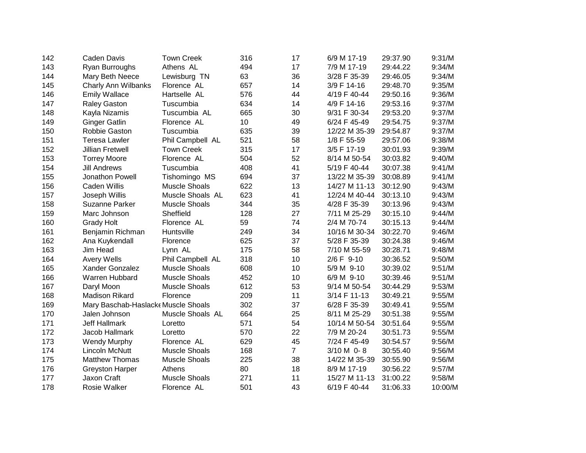| 142 | Caden Davis                        | <b>Town Creek</b>    | 316             | 17             | 6/9 M 17-19   | 29:37.90 | 9:31/M  |
|-----|------------------------------------|----------------------|-----------------|----------------|---------------|----------|---------|
| 143 | Ryan Burroughs                     | Athens AL            | 494             | 17             | 7/9 M 17-19   | 29:44.22 | 9:34/M  |
| 144 | Mary Beth Neece                    | Lewisburg TN         | 63              | 36             | 3/28 F 35-39  | 29:46.05 | 9:34/M  |
| 145 | Charly Ann Wilbanks                | Florence AL          | 657             | 14             | 3/9 F 14-16   | 29:48.70 | 9:35/M  |
| 146 | <b>Emily Wallace</b>               | Hartselle AL         | 576             | 44             | 4/19 F 40-44  | 29:50.16 | 9:36/M  |
| 147 | <b>Raley Gaston</b>                | Tuscumbia            | 634             | 14             | 4/9 F 14-16   | 29:53.16 | 9:37/M  |
| 148 | Kayla Nizamis                      | Tuscumbia AL         | 665             | 30             | 9/31 F 30-34  | 29:53.20 | 9:37/M  |
| 149 | <b>Ginger Gatlin</b>               | Florence AL          | 10 <sup>1</sup> | 49             | 6/24 F 45-49  | 29:54.75 | 9:37/M  |
| 150 | Robbie Gaston                      | Tuscumbia            | 635             | 39             | 12/22 M 35-39 | 29:54.87 | 9:37/M  |
| 151 | <b>Teresa Lawler</b>               | Phil Campbell AL     | 521             | 58             | 1/8 F 55-59   | 29:57.06 | 9:38/M  |
| 152 | <b>Jillian Fretwell</b>            | <b>Town Creek</b>    | 315             | 17             | 3/5 F 17-19   | 30:01.93 | 9:39/M  |
| 153 | <b>Torrey Moore</b>                | Florence AL          | 504             | 52             | 8/14 M 50-54  | 30:03.82 | 9:40/M  |
| 154 | <b>Jill Andrews</b>                | Tuscumbia            | 408             | 41             | 5/19 F 40-44  | 30:07.38 | 9:41/M  |
| 155 | Jonathon Powell                    | Tishomingo MS        | 694             | 37             | 13/22 M 35-39 | 30:08.89 | 9:41/M  |
| 156 | <b>Caden Willis</b>                | <b>Muscle Shoals</b> | 622             | 13             | 14/27 M 11-13 | 30:12.90 | 9:43/M  |
| 157 | Joseph Willis                      | Muscle Shoals AL     | 623             | 41             | 12/24 M 40-44 | 30:13.10 | 9:43/M  |
| 158 | <b>Suzanne Parker</b>              | <b>Muscle Shoals</b> | 344             | 35             | 4/28 F 35-39  | 30:13.96 | 9:43/M  |
| 159 | Marc Johnson                       | Sheffield            | 128             | 27             | 7/11 M 25-29  | 30:15.10 | 9:44/M  |
| 160 | <b>Grady Holt</b>                  | Florence AL          | 59              | 74             | 2/4 M 70-74   | 30:15.13 | 9:44/M  |
| 161 | Benjamin Richman                   | Huntsville           | 249             | 34             | 10/16 M 30-34 | 30:22.70 | 9:46/M  |
| 162 | Ana Kuykendall                     | Florence             | 625             | 37             | 5/28 F 35-39  | 30:24.38 | 9:46/M  |
| 163 | Jim Head                           | Lynn AL              | 175             | 58             | 7/10 M 55-59  | 30:28.71 | 9:48/M  |
| 164 | <b>Avery Wells</b>                 | Phil Campbell AL     | 318             | 10             | 2/6 F 9-10    | 30:36.52 | 9:50/M  |
| 165 | Xander Gonzalez                    | <b>Muscle Shoals</b> | 608             | 10             | 5/9 M 9-10    | 30:39.02 | 9:51/M  |
| 166 | Warren Hubbard                     | <b>Muscle Shoals</b> | 452             | 10             | 6/9 M 9-10    | 30:39.46 | 9:51/M  |
| 167 | Daryl Moon                         | <b>Muscle Shoals</b> | 612             | 53             | 9/14 M 50-54  | 30:44.29 | 9:53/M  |
| 168 | <b>Madison Rikard</b>              | Florence             | 209             | 11             | 3/14 F 11-13  | 30:49.21 | 9:55/M  |
| 169 | Mary Baschab-Haslack Muscle Shoals |                      | 302             | 37             | 6/28 F 35-39  | 30:49.41 | 9:55/M  |
| 170 | Jalen Johnson                      | Muscle Shoals AL     | 664             | 25             | 8/11 M 25-29  | 30:51.38 | 9:55/M  |
| 171 | <b>Jeff Hallmark</b>               | Loretto              | 571             | 54             | 10/14 M 50-54 | 30:51.64 | 9:55/M  |
| 172 | Jacob Hallmark                     | Loretto              | 570             | 22             | 7/9 M 20-24   | 30:51.73 | 9:55/M  |
| 173 | <b>Wendy Murphy</b>                | Florence AL          | 629             | 45             | 7/24 F 45-49  | 30:54.57 | 9:56/M  |
| 174 | Lincoln McNutt                     | <b>Muscle Shoals</b> | 168             | $\overline{7}$ | 3/10 M 0-8    | 30:55.40 | 9:56/M  |
| 175 | <b>Matthew Thomas</b>              | <b>Muscle Shoals</b> | 225             | 38             | 14/22 M 35-39 | 30:55.90 | 9:56/M  |
| 176 | <b>Greyston Harper</b>             | Athens               | 80              | 18             | 8/9 M 17-19   | 30:56.22 | 9:57/M  |
| 177 | Jaxon Craft                        | <b>Muscle Shoals</b> | 271             | 11             | 15/27 M 11-13 | 31:00.22 | 9:58/M  |
| 178 | Rosie Walker                       | Florence AL          | 501             | 43             | 6/19 F 40-44  | 31:06.33 | 10:00/M |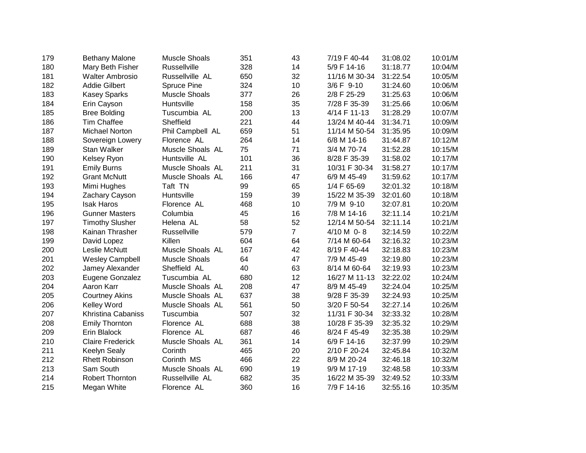| 179 | <b>Bethany Malone</b>   | <b>Muscle Shoals</b> | 351 | 43             | 7/19 F 40-44  | 31:08.02 | 10:01/M |
|-----|-------------------------|----------------------|-----|----------------|---------------|----------|---------|
| 180 | Mary Beth Fisher        | Russellville         | 328 | 14             | 5/9 F 14-16   | 31:18.77 | 10:04/M |
| 181 | <b>Walter Ambrosio</b>  | Russellville AL      | 650 | 32             | 11/16 M 30-34 | 31:22.54 | 10:05/M |
| 182 | <b>Addie Gilbert</b>    | <b>Spruce Pine</b>   | 324 | 10             | 3/6 F 9-10    | 31:24.60 | 10:06/M |
| 183 | <b>Kasey Sparks</b>     | <b>Muscle Shoals</b> | 377 | 26             | 2/8 F 25-29   | 31:25.63 | 10:06/M |
| 184 | Erin Cayson             | Huntsville           | 158 | 35             | 7/28 F 35-39  | 31:25.66 | 10:06/M |
| 185 | <b>Bree Bolding</b>     | Tuscumbia AL         | 200 | 13             | 4/14 F 11-13  | 31:28.29 | 10:07/M |
| 186 | <b>Tim Chaffee</b>      | Sheffield            | 221 | 44             | 13/24 M 40-44 | 31:34.71 | 10:09/M |
| 187 | <b>Michael Norton</b>   | Phil Campbell AL     | 659 | 51             | 11/14 M 50-54 | 31:35.95 | 10:09/M |
| 188 | Sovereign Lowery        | Florence AL          | 264 | 14             | 6/8 M 14-16   | 31:44.87 | 10:12/M |
| 189 | <b>Stan Walker</b>      | Muscle Shoals AL     | 75  | 71             | 3/4 M 70-74   | 31:52.28 | 10:15/M |
| 190 | Kelsey Ryon             | Huntsville AL        | 101 | 36             | 8/28 F 35-39  | 31:58.02 | 10:17/M |
| 191 | <b>Emily Burns</b>      | Muscle Shoals AL     | 211 | 31             | 10/31 F 30-34 | 31:58.27 | 10:17/M |
| 192 | <b>Grant McNutt</b>     | Muscle Shoals AL     | 166 | 47             | 6/9 M 45-49   | 31:59.62 | 10:17/M |
| 193 | Mimi Hughes             | Taft TN              | 99  | 65             | 1/4 F 65-69   | 32:01.32 | 10:18/M |
| 194 | Zachary Cayson          | Huntsville           | 159 | 39             | 15/22 M 35-39 | 32:01.60 | 10:18/M |
| 195 | <b>Isak Haros</b>       | Florence AL          | 468 | 10             | 7/9 M 9-10    | 32:07.81 | 10:20/M |
| 196 | <b>Gunner Masters</b>   | Columbia             | 45  | 16             | 7/8 M 14-16   | 32:11.14 | 10:21/M |
| 197 | <b>Timothy Slusher</b>  | Helena AL            | 58  | 52             | 12/14 M 50-54 | 32:11.14 | 10:21/M |
| 198 | Kainan Thrasher         | Russellville         | 579 | $\overline{7}$ | 4/10 M 0-8    | 32:14.59 | 10:22/M |
| 199 | David Lopez             | Killen               | 604 | 64             | 7/14 M 60-64  | 32:16.32 | 10:23/M |
| 200 | Leslie McNutt           | Muscle Shoals AL     | 167 | 42             | 8/19 F 40-44  | 32:18.83 | 10:23/M |
| 201 | <b>Wesley Campbell</b>  | <b>Muscle Shoals</b> | 64  | 47             | 7/9 M 45-49   | 32:19.80 | 10:23/M |
| 202 | Jamey Alexander         | Sheffield AL         | 40  | 63             | 8/14 M 60-64  | 32:19.93 | 10:23/M |
| 203 | Eugene Gonzalez         | Tuscumbia AL         | 680 | 12             | 16/27 M 11-13 | 32:22.02 | 10:24/M |
| 204 | Aaron Karr              | Muscle Shoals AL     | 208 | 47             | 8/9 M 45-49   | 32:24.04 | 10:25/M |
| 205 | <b>Courtney Akins</b>   | Muscle Shoals AL     | 637 | 38             | 9/28 F 35-39  | 32:24.93 | 10:25/M |
| 206 | <b>Kelley Word</b>      | Muscle Shoals AL     | 561 | 50             | 3/20 F 50-54  | 32:27.14 | 10:26/M |
| 207 | Khristina Cabaniss      | Tuscumbia            | 507 | 32             | 11/31 F 30-34 | 32:33.32 | 10:28/M |
| 208 | <b>Emily Thornton</b>   | Florence AL          | 688 | 38             | 10/28 F 35-39 | 32:35.32 | 10:29/M |
| 209 | Erin Blalock            | Florence AL          | 687 | 46             | 8/24 F 45-49  | 32:35.38 | 10:29/M |
| 210 | <b>Claire Frederick</b> | Muscle Shoals AL     | 361 | 14             | 6/9 F 14-16   | 32:37.99 | 10:29/M |
| 211 | Keelyn Sealy            | Corinth              | 465 | 20             | 2/10 F 20-24  | 32:45.84 | 10:32/M |
| 212 | <b>Rhett Robinson</b>   | Corinth MS           | 466 | 22             | 8/9 M 20-24   | 32:46.18 | 10:32/M |
| 213 | Sam South               | Muscle Shoals AL     | 690 | 19             | 9/9 M 17-19   | 32:48.58 | 10:33/M |
| 214 | Robert Thornton         | Russellville AL      | 682 | 35             | 16/22 M 35-39 | 32:49.52 | 10:33/M |
| 215 | Megan White             | Florence AL          | 360 | 16             | 7/9 F 14-16   | 32:55.16 | 10:35/M |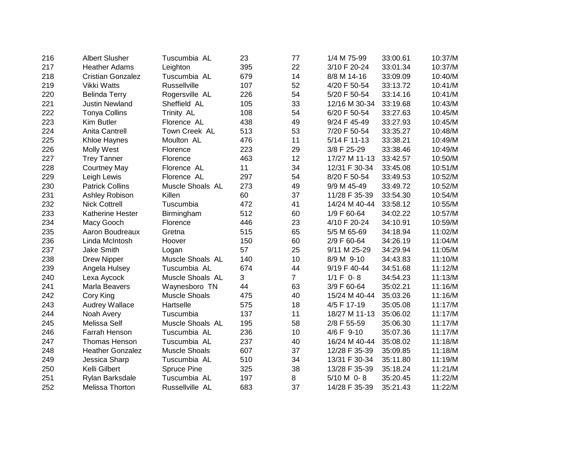| 216 | <b>Albert Slusher</b>    | Tuscumbia AL         | 23  | 77             | 1/4 M 75-99   | 33:00.61 | 10:37/M |
|-----|--------------------------|----------------------|-----|----------------|---------------|----------|---------|
| 217 | <b>Heather Adams</b>     | Leighton             | 395 | 22             | 3/10 F 20-24  | 33:01.34 | 10:37/M |
| 218 | <b>Cristian Gonzalez</b> | Tuscumbia AL         | 679 | 14             | 8/8 M 14-16   | 33:09.09 | 10:40/M |
| 219 | Vikki Watts              | Russellville         | 107 | 52             | 4/20 F 50-54  | 33:13.72 | 10:41/M |
| 220 | <b>Belinda Terry</b>     | Rogersville AL       | 226 | 54             | 5/20 F 50-54  | 33:14.16 | 10:41/M |
| 221 | <b>Justin Newland</b>    | Sheffield AL         | 105 | 33             | 12/16 M 30-34 | 33:19.68 | 10:43/M |
| 222 | <b>Tonya Collins</b>     | Trinity AL           | 108 | 54             | 6/20 F 50-54  | 33:27.63 | 10:45/M |
| 223 | Kim Butler               | Florence AL          | 438 | 49             | 9/24 F 45-49  | 33:27.93 | 10:45/M |
| 224 | Anita Cantrell           | Town Creek AL        | 513 | 53             | 7/20 F 50-54  | 33:35.27 | 10:48/M |
| 225 | Khloe Haynes             | Moulton AL           | 476 | 11             | 5/14 F 11-13  | 33:38.21 | 10:49/M |
| 226 | <b>Molly West</b>        | Florence             | 223 | 29             | 3/8 F 25-29   | 33:38.46 | 10:49/M |
| 227 | <b>Trey Tanner</b>       | Florence             | 463 | 12             | 17/27 M 11-13 | 33:42.57 | 10:50/M |
| 228 | <b>Courtney May</b>      | Florence AL          | 11  | 34             | 12/31 F 30-34 | 33:45.08 | 10:51/M |
| 229 | Leigh Lewis              | Florence AL          | 297 | 54             | 8/20 F 50-54  | 33:49.53 | 10:52/M |
| 230 | <b>Patrick Collins</b>   | Muscle Shoals AL     | 273 | 49             | 9/9 M 45-49   | 33:49.72 | 10:52/M |
| 231 | Ashley Robison           | Killen               | 60  | 37             | 11/28 F 35-39 | 33:54.30 | 10:54/M |
| 232 | <b>Nick Cottrell</b>     | Tuscumbia            | 472 | 41             | 14/24 M 40-44 | 33:58.12 | 10:55/M |
| 233 | Katherine Hester         | Birmingham           | 512 | 60             | 1/9 F 60-64   | 34:02.22 | 10:57/M |
| 234 | Macy Gooch               | Florence             | 446 | 23             | 4/10 F 20-24  | 34:10.91 | 10:59/M |
| 235 | Aaron Boudreaux          | Gretna               | 515 | 65             | 5/5 M 65-69   | 34:18.94 | 11:02/M |
| 236 | Linda McIntosh           | Hoover               | 150 | 60             | 2/9 F 60-64   | 34:26.19 | 11:04/M |
| 237 | <b>Jake Smith</b>        | Logan                | 57  | 25             | 9/11 M 25-29  | 34:29.94 | 11:05/M |
| 238 | <b>Drew Nipper</b>       | Muscle Shoals AL     | 140 | 10             | 8/9 M 9-10    | 34:43.83 | 11:10/M |
| 239 | Angela Hulsey            | Tuscumbia AL         | 674 | 44             | 9/19 F 40-44  | 34:51.68 | 11:12/M |
| 240 | Lexa Aycock              | Muscle Shoals AL     | 3   | $\overline{7}$ | $1/1 F 0 - 8$ | 34:54.23 | 11:13/M |
| 241 | Marla Beavers            | Waynesboro TN        | 44  | 63             | 3/9 F 60-64   | 35:02.21 | 11:16/M |
| 242 | Cory King                | <b>Muscle Shoals</b> | 475 | 40             | 15/24 M 40-44 | 35:03.26 | 11:16/M |
| 243 | Audrey Wallace           | Hartselle            | 575 | 18             | 4/5 F 17-19   | 35:05.08 | 11:17/M |
| 244 | Noah Avery               | Tuscumbia            | 137 | 11             | 18/27 M 11-13 | 35:06.02 | 11:17/M |
| 245 | Melissa Self             | Muscle Shoals AL     | 195 | 58             | 2/8 F 55-59   | 35:06.30 | 11:17/M |
| 246 | Farrah Henson            | Tuscumbia AL         | 236 | 10             | 4/6 F 9-10    | 35:07.36 | 11:17/M |
| 247 | <b>Thomas Henson</b>     | Tuscumbia AL         | 237 | 40             | 16/24 M 40-44 | 35:08.02 | 11:18/M |
| 248 | <b>Heather Gonzalez</b>  | <b>Muscle Shoals</b> | 607 | 37             | 12/28 F 35-39 | 35:09.85 | 11:18/M |
| 249 | Jessica Sharp            | Tuscumbia AL         | 510 | 34             | 13/31 F 30-34 | 35:11.80 | 11:19/M |
| 250 | Kelli Gilbert            | Spruce Pine          | 325 | 38             | 13/28 F 35-39 | 35:18.24 | 11:21/M |
| 251 | Rylan Barksdale          | Tuscumbia AL         | 197 | 8              | 5/10 M 0-8    | 35:20.45 | 11:22/M |
| 252 | Melissa Thorton          | Russellville AL      | 683 | 37             | 14/28 F 35-39 | 35:21.43 | 11:22/M |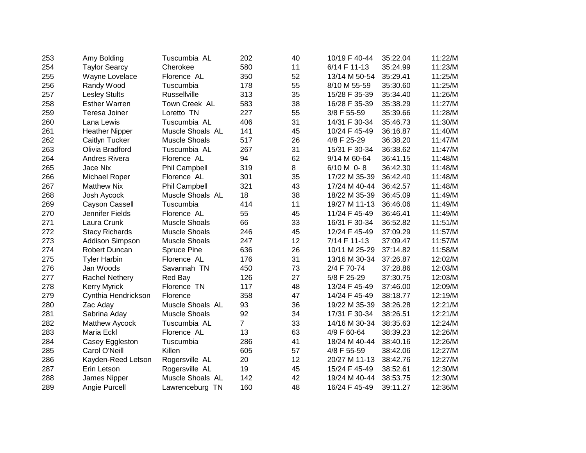| 253 | Amy Bolding           | Tuscumbia AL         | 202            | 40 | 10/19 F 40-44 | 35:22.04 | 11:22/M |
|-----|-----------------------|----------------------|----------------|----|---------------|----------|---------|
| 254 | <b>Taylor Searcy</b>  | Cherokee             | 580            | 11 | 6/14 F 11-13  | 35:24.99 | 11:23/M |
| 255 | Wayne Lovelace        | Florence AL          | 350            | 52 | 13/14 M 50-54 | 35:29.41 | 11:25/M |
| 256 | Randy Wood            | Tuscumbia            | 178            | 55 | 8/10 M 55-59  | 35:30.60 | 11:25/M |
| 257 | <b>Lesley Stults</b>  | Russellville         | 313            | 35 | 15/28 F 35-39 | 35:34.40 | 11:26/M |
| 258 | <b>Esther Warren</b>  | Town Creek AL        | 583            | 38 | 16/28 F 35-39 | 35:38.29 | 11:27/M |
| 259 | Teresa Joiner         | Loretto TN           | 227            | 55 | 3/8 F 55-59   | 35:39.66 | 11:28/M |
| 260 | Lana Lewis            | Tuscumbia AL         | 406            | 31 | 14/31 F 30-34 | 35:46.73 | 11:30/M |
| 261 | <b>Heather Nipper</b> | Muscle Shoals AL     | 141            | 45 | 10/24 F 45-49 | 36:16.87 | 11:40/M |
| 262 | Caitlyn Tucker        | <b>Muscle Shoals</b> | 517            | 26 | 4/8 F 25-29   | 36:38.20 | 11:47/M |
| 263 | Olivia Bradford       | Tuscumbia AL         | 267            | 31 | 15/31 F 30-34 | 36:38.62 | 11:47/M |
| 264 | Andres Rivera         | Florence AL          | 94             | 62 | 9/14 M 60-64  | 36:41.15 | 11:48/M |
| 265 | Jace Nix              | <b>Phil Campbell</b> | 319            | 8  | 6/10 M 0-8    | 36:42.30 | 11:48/M |
| 266 | Michael Roper         | Florence AL          | 301            | 35 | 17/22 M 35-39 | 36:42.40 | 11:48/M |
| 267 | <b>Matthew Nix</b>    | <b>Phil Campbell</b> | 321            | 43 | 17/24 M 40-44 | 36:42.57 | 11:48/M |
| 268 | Josh Aycock           | Muscle Shoals AL     | 18             | 38 | 18/22 M 35-39 | 36:45.09 | 11:49/M |
| 269 | Cayson Cassell        | Tuscumbia            | 414            | 11 | 19/27 M 11-13 | 36:46.06 | 11:49/M |
| 270 | Jennifer Fields       | Florence AL          | 55             | 45 | 11/24 F 45-49 | 36:46.41 | 11:49/M |
| 271 | Laura Crunk           | <b>Muscle Shoals</b> | 66             | 33 | 16/31 F 30-34 | 36:52.82 | 11:51/M |
| 272 | <b>Stacy Richards</b> | <b>Muscle Shoals</b> | 246            | 45 | 12/24 F 45-49 | 37:09.29 | 11:57/M |
| 273 | Addison Simpson       | <b>Muscle Shoals</b> | 247            | 12 | 7/14 F 11-13  | 37:09.47 | 11:57/M |
| 274 | <b>Robert Duncan</b>  | Spruce Pine          | 636            | 26 | 10/11 M 25-29 | 37:14.82 | 11:58/M |
| 275 | <b>Tyler Harbin</b>   | Florence AL          | 176            | 31 | 13/16 M 30-34 | 37:26.87 | 12:02/M |
| 276 | Jan Woods             | Savannah TN          | 450            | 73 | 2/4 F 70-74   | 37:28.86 | 12:03/M |
| 277 | <b>Rachel Nethery</b> | Red Bay              | 126            | 27 | 5/8 F 25-29   | 37:30.75 | 12:03/M |
| 278 | <b>Kerry Myrick</b>   | Florence TN          | 117            | 48 | 13/24 F 45-49 | 37:46.00 | 12:09/M |
| 279 | Cynthia Hendrickson   | Florence             | 358            | 47 | 14/24 F 45-49 | 38:18.77 | 12:19/M |
| 280 | Zac Aday              | Muscle Shoals AL     | 93             | 36 | 19/22 M 35-39 | 38:26.28 | 12:21/M |
| 281 | Sabrina Aday          | <b>Muscle Shoals</b> | 92             | 34 | 17/31 F 30-34 | 38:26.51 | 12:21/M |
| 282 | Matthew Aycock        | Tuscumbia AL         | $\overline{7}$ | 33 | 14/16 M 30-34 | 38:35.63 | 12:24/M |
| 283 | Maria Eckl            | Florence AL          | 13             | 63 | 4/9 F 60-64   | 38:39.23 | 12:26/M |
| 284 | Casey Eggleston       | Tuscumbia            | 286            | 41 | 18/24 M 40-44 | 38:40.16 | 12:26/M |
| 285 | Carol O'Neill         | Killen               | 605            | 57 | 4/8 F 55-59   | 38:42.06 | 12:27/M |
| 286 | Kayden-Reed Letson    | Rogersville AL       | 20             | 12 | 20/27 M 11-13 | 38:42.76 | 12:27/M |
| 287 | Erin Letson           | Rogersville AL       | 19             | 45 | 15/24 F 45-49 | 38:52.61 | 12:30/M |
| 288 | James Nipper          | Muscle Shoals AL     | 142            | 42 | 19/24 M 40-44 | 38:53.75 | 12:30/M |
| 289 | Angie Purcell         | Lawrenceburg TN      | 160            | 48 | 16/24 F 45-49 | 39:11.27 | 12:36/M |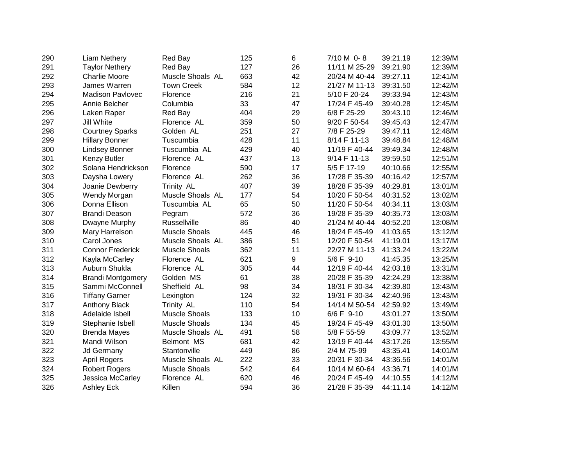| 290 | Liam Nethery             | Red Bay              | 125 | 6  | 7/10 M 0-8    | 39:21.19 | 12:39/M |
|-----|--------------------------|----------------------|-----|----|---------------|----------|---------|
| 291 | <b>Taylor Nethery</b>    | Red Bay              | 127 | 26 | 11/11 M 25-29 | 39:21.90 | 12:39/M |
| 292 | <b>Charlie Moore</b>     | Muscle Shoals AL     | 663 | 42 | 20/24 M 40-44 | 39:27.11 | 12:41/M |
| 293 | James Warren             | <b>Town Creek</b>    | 584 | 12 | 21/27 M 11-13 | 39:31.50 | 12:42/M |
| 294 | <b>Madison Pavlovec</b>  | Florence             | 216 | 21 | 5/10 F 20-24  | 39:33.94 | 12:43/M |
| 295 | Annie Belcher            | Columbia             | 33  | 47 | 17/24 F 45-49 | 39:40.28 | 12:45/M |
| 296 | Laken Raper              | Red Bay              | 404 | 29 | 6/8 F 25-29   | 39:43.10 | 12:46/M |
| 297 | Jill White               | Florence AL          | 359 | 50 | 9/20 F 50-54  | 39:45.43 | 12:47/M |
| 298 | <b>Courtney Sparks</b>   | Golden AL            | 251 | 27 | 7/8 F 25-29   | 39:47.11 | 12:48/M |
| 299 | <b>Hillary Bonner</b>    | Tuscumbia            | 428 | 11 | 8/14 F 11-13  | 39:48.84 | 12:48/M |
| 300 | <b>Lindsey Bonner</b>    | Tuscumbia AL         | 429 | 40 | 11/19 F 40-44 | 39:49.34 | 12:48/M |
| 301 | Kenzy Butler             | Florence AL          | 437 | 13 | 9/14 F 11-13  | 39:59.50 | 12:51/M |
| 302 | Solana Hendrickson       | Florence             | 590 | 17 | 5/5 F 17-19   | 40:10.66 | 12:55/M |
| 303 | Daysha Lowery            | Florence AL          | 262 | 36 | 17/28 F 35-39 | 40:16.42 | 12:57/M |
| 304 | Joanie Dewberry          | <b>Trinity AL</b>    | 407 | 39 | 18/28 F 35-39 | 40:29.81 | 13:01/M |
| 305 | Wendy Morgan             | Muscle Shoals AL     | 177 | 54 | 10/20 F 50-54 | 40:31.52 | 13:02/M |
| 306 | Donna Ellison            | Tuscumbia AL         | 65  | 50 | 11/20 F 50-54 | 40:34.11 | 13:03/M |
| 307 | <b>Brandi Deason</b>     | Pegram               | 572 | 36 | 19/28 F 35-39 | 40:35.73 | 13:03/M |
| 308 | Dwayne Murphy            | Russellville         | 86  | 40 | 21/24 M 40-44 | 40:52.20 | 13:08/M |
| 309 | Mary Harrelson           | <b>Muscle Shoals</b> | 445 | 46 | 18/24 F 45-49 | 41:03.65 | 13:12/M |
| 310 | Carol Jones              | Muscle Shoals AL     | 386 | 51 | 12/20 F 50-54 | 41:19.01 | 13:17/M |
| 311 | <b>Connor Frederick</b>  | <b>Muscle Shoals</b> | 362 | 11 | 22/27 M 11-13 | 41:33.24 | 13:22/M |
| 312 | Kayla McCarley           | Florence AL          | 621 | 9  | 5/6 F 9-10    | 41:45.35 | 13:25/M |
| 313 | Auburn Shukla            | Florence AL          | 305 | 44 | 12/19 F 40-44 | 42:03.18 | 13:31/M |
| 314 | <b>Brandi Montgomery</b> | Golden MS            | 61  | 38 | 20/28 F 35-39 | 42:24.29 | 13:38/M |
| 315 | Sammi McConnell          | Sheffield AL         | 98  | 34 | 18/31 F 30-34 | 42:39.80 | 13:43/M |
| 316 | <b>Tiffany Garner</b>    | Lexington            | 124 | 32 | 19/31 F 30-34 | 42:40.96 | 13:43/M |
| 317 | <b>Anthony Black</b>     | <b>Trinity AL</b>    | 110 | 54 | 14/14 M 50-54 | 42:59.92 | 13:49/M |
| 318 | Adelaide Isbell          | <b>Muscle Shoals</b> | 133 | 10 | 6/6 F 9-10    | 43:01.27 | 13:50/M |
| 319 | Stephanie Isbell         | <b>Muscle Shoals</b> | 134 | 45 | 19/24 F 45-49 | 43:01.30 | 13:50/M |
| 320 | <b>Brenda Mayes</b>      | Muscle Shoals AL     | 491 | 58 | 5/8 F 55-59   | 43:09.77 | 13:52/M |
| 321 | Mandi Wilson             | <b>Belmont MS</b>    | 681 | 42 | 13/19 F 40-44 | 43:17.26 | 13:55/M |
| 322 | <b>Jd Germany</b>        | Stantonville         | 449 | 86 | 2/4 M 75-99   | 43:35.41 | 14:01/M |
| 323 | <b>April Rogers</b>      | Muscle Shoals AL     | 222 | 33 | 20/31 F 30-34 | 43:36.56 | 14:01/M |
| 324 | <b>Robert Rogers</b>     | <b>Muscle Shoals</b> | 542 | 64 | 10/14 M 60-64 | 43:36.71 | 14:01/M |
| 325 | Jessica McCarley         | Florence AL          | 620 | 46 | 20/24 F 45-49 | 44:10.55 | 14:12/M |
| 326 | <b>Ashley Eck</b>        | Killen               | 594 | 36 | 21/28 F 35-39 | 44:11.14 | 14:12/M |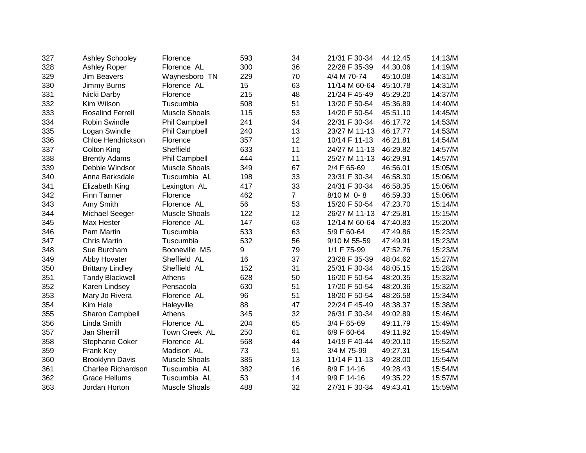| 327 | Ashley Schooley           | Florence             | 593 | 34             | 21/31 F 30-34 | 44:12.45 | 14:13/M |
|-----|---------------------------|----------------------|-----|----------------|---------------|----------|---------|
| 328 | Ashley Roper              | Florence AL          | 300 | 36             | 22/28 F 35-39 | 44:30.06 | 14:19/M |
| 329 | <b>Jim Beavers</b>        | Waynesboro TN        | 229 | 70             | 4/4 M 70-74   | 45:10.08 | 14:31/M |
| 330 | Jimmy Burns               | Florence AL          | 15  | 63             | 11/14 M 60-64 | 45:10.78 | 14:31/M |
| 331 | Nicki Darby               | Florence             | 215 | 48             | 21/24 F 45-49 | 45:29.20 | 14:37/M |
| 332 | Kim Wilson                | Tuscumbia            | 508 | 51             | 13/20 F 50-54 | 45:36.89 | 14:40/M |
| 333 | <b>Rosalind Ferrell</b>   | <b>Muscle Shoals</b> | 115 | 53             | 14/20 F 50-54 | 45:51.10 | 14:45/M |
| 334 | <b>Robin Swindle</b>      | <b>Phil Campbell</b> | 241 | 34             | 22/31 F 30-34 | 46:17.72 | 14:53/M |
| 335 | Logan Swindle             | <b>Phil Campbell</b> | 240 | 13             | 23/27 M 11-13 | 46:17.77 | 14:53/M |
| 336 | <b>Chloe Hendrickson</b>  | Florence             | 357 | 12             | 10/14 F 11-13 | 46:21.81 | 14:54/M |
| 337 | <b>Colton King</b>        | Sheffield            | 633 | 11             | 24/27 M 11-13 | 46:29.82 | 14:57/M |
| 338 | <b>Brently Adams</b>      | Phil Campbell        | 444 | 11             | 25/27 M 11-13 | 46:29.91 | 14:57/M |
| 339 | Debbie Windsor            | <b>Muscle Shoals</b> | 349 | 67             | 2/4 F 65-69   | 46:56.01 | 15:05/M |
| 340 | Anna Barksdale            | Tuscumbia AL         | 198 | 33             | 23/31 F 30-34 | 46:58.30 | 15:06/M |
| 341 | Elizabeth King            | Lexington AL         | 417 | 33             | 24/31 F 30-34 | 46:58.35 | 15:06/M |
| 342 | <b>Finn Tanner</b>        | Florence             | 462 | $\overline{7}$ | 8/10 M 0-8    | 46:59.33 | 15:06/M |
| 343 | Amy Smith                 | Florence AL          | 56  | 53             | 15/20 F 50-54 | 47:23.70 | 15:14/M |
| 344 | Michael Seeger            | <b>Muscle Shoals</b> | 122 | 12             | 26/27 M 11-13 | 47:25.81 | 15:15/M |
| 345 | Max Hester                | Florence AL          | 147 | 63             | 12/14 M 60-64 | 47:40.83 | 15:20/M |
| 346 | Pam Martin                | Tuscumbia            | 533 | 63             | 5/9 F 60-64   | 47:49.86 | 15:23/M |
| 347 | <b>Chris Martin</b>       | Tuscumbia            | 532 | 56             | 9/10 M 55-59  | 47:49.91 | 15:23/M |
| 348 | Sue Burcham               | Booneville MS        | 9   | 79             | 1/1 F 75-99   | 47:52.76 | 15:23/M |
| 349 | Abby Hovater              | Sheffield AL         | 16  | 37             | 23/28 F 35-39 | 48:04.62 | 15:27/M |
| 350 | <b>Brittany Lindley</b>   | Sheffield AL         | 152 | 31             | 25/31 F 30-34 | 48:05.15 | 15:28/M |
| 351 | <b>Tandy Blackwell</b>    | Athens               | 628 | 50             | 16/20 F 50-54 | 48:20.35 | 15:32/M |
| 352 | Karen Lindsey             | Pensacola            | 630 | 51             | 17/20 F 50-54 | 48:20.36 | 15:32/M |
| 353 | Mary Jo Rivera            | Florence AL          | 96  | 51             | 18/20 F 50-54 | 48:26.58 | 15:34/M |
| 354 | Kim Hale                  | Haleyville           | 88  | 47             | 22/24 F 45-49 | 48:38.37 | 15:38/M |
| 355 | Sharon Campbell           | Athens               | 345 | 32             | 26/31 F 30-34 | 49:02.89 | 15:46/M |
| 356 | Linda Smith               | Florence AL          | 204 | 65             | 3/4 F 65-69   | 49:11.79 | 15:49/M |
| 357 | Jan Sherrill              | Town Creek AL        | 250 | 61             | 6/9 F 60-64   | 49:11.92 | 15:49/M |
| 358 | Stephanie Coker           | Florence AL          | 568 | 44             | 14/19 F 40-44 | 49:20.10 | 15:52/M |
| 359 | Frank Key                 | Madison AL           | 73  | 91             | 3/4 M 75-99   | 49:27.31 | 15:54/M |
| 360 | <b>Brooklynn Davis</b>    | <b>Muscle Shoals</b> | 385 | 13             | 11/14 F 11-13 | 49:28.00 | 15:54/M |
| 361 | <b>Charlee Richardson</b> | Tuscumbia AL         | 382 | 16             | 8/9 F 14-16   | 49:28.43 | 15:54/M |
| 362 | <b>Grace Hellums</b>      | Tuscumbia AL         | 53  | 14             | 9/9 F 14-16   | 49:35.22 | 15:57/M |
| 363 | Jordan Horton             | <b>Muscle Shoals</b> | 488 | 32             | 27/31 F 30-34 | 49:43.41 | 15:59/M |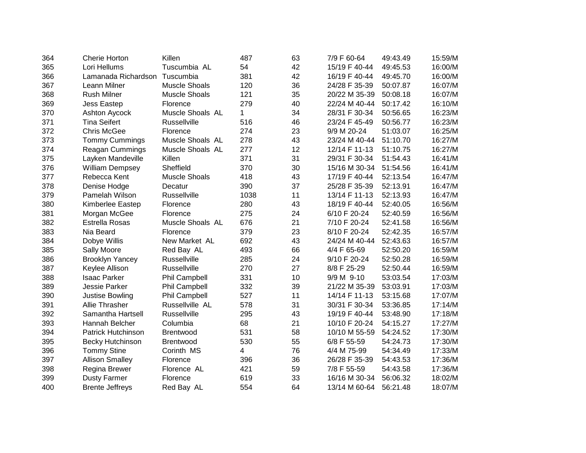| 364 | <b>Cherie Horton</b>      | Killen               | 487  | 63 | 7/9 F 60-64   | 49:43.49 | 15:59/M |
|-----|---------------------------|----------------------|------|----|---------------|----------|---------|
| 365 | Lori Hellums              | Tuscumbia AL         | 54   | 42 | 15/19 F 40-44 | 49:45.53 | 16:00/M |
| 366 | Lamanada Richardson       | Tuscumbia            | 381  | 42 | 16/19 F 40-44 | 49:45.70 | 16:00/M |
| 367 | Leann Milner              | <b>Muscle Shoals</b> | 120  | 36 | 24/28 F 35-39 | 50:07.87 | 16:07/M |
| 368 | <b>Rush Milner</b>        | <b>Muscle Shoals</b> | 121  | 35 | 20/22 M 35-39 | 50:08.18 | 16:07/M |
| 369 | Jess Eastep               | Florence             | 279  | 40 | 22/24 M 40-44 | 50:17.42 | 16:10/M |
| 370 | Ashton Aycock             | Muscle Shoals AL     | 1    | 34 | 28/31 F 30-34 | 50:56.65 | 16:23/M |
| 371 | <b>Tina Seifert</b>       | <b>Russellville</b>  | 516  | 46 | 23/24 F 45-49 | 50:56.77 | 16:23/M |
| 372 | <b>Chris McGee</b>        | Florence             | 274  | 23 | 9/9 M 20-24   | 51:03.07 | 16:25/M |
| 373 | <b>Tommy Cummings</b>     | Muscle Shoals AL     | 278  | 43 | 23/24 M 40-44 | 51:10.70 | 16:27/M |
| 374 | <b>Reagan Cummings</b>    | Muscle Shoals AL     | 277  | 12 | 12/14 F 11-13 | 51:10.75 | 16:27/M |
| 375 | Layken Mandeville         | Killen               | 371  | 31 | 29/31 F 30-34 | 51:54.43 | 16:41/M |
| 376 | <b>William Dempsey</b>    | Sheffield            | 370  | 30 | 15/16 M 30-34 | 51:54.56 | 16:41/M |
| 377 | Rebecca Kent              | <b>Muscle Shoals</b> | 418  | 43 | 17/19 F 40-44 | 52:13.54 | 16:47/M |
| 378 | Denise Hodge              | Decatur              | 390  | 37 | 25/28 F 35-39 | 52:13.91 | 16:47/M |
| 379 | Pamelah Wilson            | <b>Russellville</b>  | 1038 | 11 | 13/14 F 11-13 | 52:13.93 | 16:47/M |
| 380 | Kimberlee Eastep          | Florence             | 280  | 43 | 18/19 F 40-44 | 52:40.05 | 16:56/M |
| 381 | Morgan McGee              | Florence             | 275  | 24 | 6/10 F 20-24  | 52:40.59 | 16:56/M |
| 382 | Estrella Rosas            | Muscle Shoals AL     | 676  | 21 | 7/10 F 20-24  | 52:41.58 | 16:56/M |
| 383 | Nia Beard                 | Florence             | 379  | 23 | 8/10 F 20-24  | 52:42.35 | 16:57/M |
| 384 | Dobye Willis              | New Market AL        | 692  | 43 | 24/24 M 40-44 | 52:43.63 | 16:57/M |
| 385 | Sally Moore               | Red Bay AL           | 493  | 66 | 4/4 F 65-69   | 52:50.20 | 16:59/M |
| 386 | <b>Brooklyn Yancey</b>    | <b>Russellville</b>  | 285  | 24 | 9/10 F 20-24  | 52:50.28 | 16:59/M |
| 387 | Keylee Allison            | Russellville         | 270  | 27 | 8/8 F 25-29   | 52:50.44 | 16:59/M |
| 388 | <b>Isaac Parker</b>       | <b>Phil Campbell</b> | 331  | 10 | 9/9 M 9-10    | 53:03.54 | 17:03/M |
| 389 | Jessie Parker             | <b>Phil Campbell</b> | 332  | 39 | 21/22 M 35-39 | 53:03.91 | 17:03/M |
| 390 | Justise Bowling           | <b>Phil Campbell</b> | 527  | 11 | 14/14 F 11-13 | 53:15.68 | 17:07/M |
| 391 | Allie Thrasher            | Russellville AL      | 578  | 31 | 30/31 F 30-34 | 53:36.85 | 17:14/M |
| 392 | Samantha Hartsell         | Russellville         | 295  | 43 | 19/19 F 40-44 | 53:48.90 | 17:18/M |
| 393 | Hannah Belcher            | Columbia             | 68   | 21 | 10/10 F 20-24 | 54:15.27 | 17:27/M |
| 394 | <b>Patrick Hutchinson</b> | <b>Brentwood</b>     | 531  | 58 | 10/10 M 55-59 | 54:24.52 | 17:30/M |
| 395 | <b>Becky Hutchinson</b>   | <b>Brentwood</b>     | 530  | 55 | 6/8 F 55-59   | 54:24.73 | 17:30/M |
| 396 | <b>Tommy Stine</b>        | Corinth MS           | 4    | 76 | 4/4 M 75-99   | 54:34.49 | 17:33/M |
| 397 | <b>Allison Smalley</b>    | Florence             | 396  | 36 | 26/28 F 35-39 | 54:43.53 | 17:36/M |
| 398 | Regina Brewer             | Florence AL          | 421  | 59 | 7/8 F 55-59   | 54:43.58 | 17:36/M |
| 399 | <b>Dusty Farmer</b>       | Florence             | 619  | 33 | 16/16 M 30-34 | 56:06.32 | 18:02/M |
| 400 | <b>Brente Jeffreys</b>    | Red Bay AL           | 554  | 64 | 13/14 M 60-64 | 56:21.48 | 18:07/M |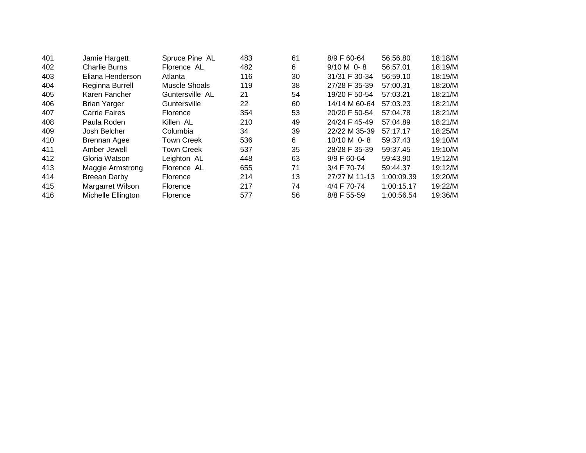| 401 | Jamie Hargett        | Spruce Pine AL    | 483 | 61 | 8/9 F 60-64   | 56:56.80   | 18:18/M |
|-----|----------------------|-------------------|-----|----|---------------|------------|---------|
| 402 | <b>Charlie Burns</b> | Florence AL       | 482 | 6  | $9/10 M$ 0-8  | 56:57.01   | 18:19/M |
| 403 | Eliana Henderson     | Atlanta           | 116 | 30 | 31/31 F 30-34 | 56:59.10   | 18:19/M |
| 404 | Reginna Burrell      | Muscle Shoals     | 119 | 38 | 27/28 F 35-39 | 57:00.31   | 18:20/M |
| 405 | Karen Fancher        | Guntersville AL   | 21  | 54 | 19/20 F 50-54 | 57:03.21   | 18:21/M |
| 406 | <b>Brian Yarger</b>  | Guntersville      | 22  | 60 | 14/14 M 60-64 | 57:03.23   | 18:21/M |
| 407 | <b>Carrie Faires</b> | <b>Florence</b>   | 354 | 53 | 20/20 F 50-54 | 57:04.78   | 18:21/M |
| 408 | Paula Roden          | Killen AL         | 210 | 49 | 24/24 F 45-49 | 57:04.89   | 18:21/M |
| 409 | Josh Belcher         | Columbia          | 34  | 39 | 22/22 M 35-39 | 57:17.17   | 18:25/M |
| 410 | <b>Brennan Agee</b>  | <b>Town Creek</b> | 536 | 6  | $10/10 M$ 0-8 | 59:37.43   | 19:10/M |
| 411 | Amber Jewell         | <b>Town Creek</b> | 537 | 35 | 28/28 F 35-39 | 59:37.45   | 19:10/M |
| 412 | Gloria Watson        | Leighton AL       | 448 | 63 | $9/9$ F 60-64 | 59:43.90   | 19:12/M |
| 413 | Maggie Armstrong     | Florence AL       | 655 | 71 | 3/4 F 70-74   | 59:44.37   | 19:12/M |
| 414 | Breean Darby         | Florence          | 214 | 13 | 27/27 M 11-13 | 1:00:09.39 | 19:20/M |
| 415 | Margarret Wilson     | Florence          | 217 | 74 | 4/4 F 70-74   | 1:00:15.17 | 19:22/M |
| 416 | Michelle Ellington   | Florence          | 577 | 56 | 8/8 F 55-59   | 1:00:56.54 | 19:36/M |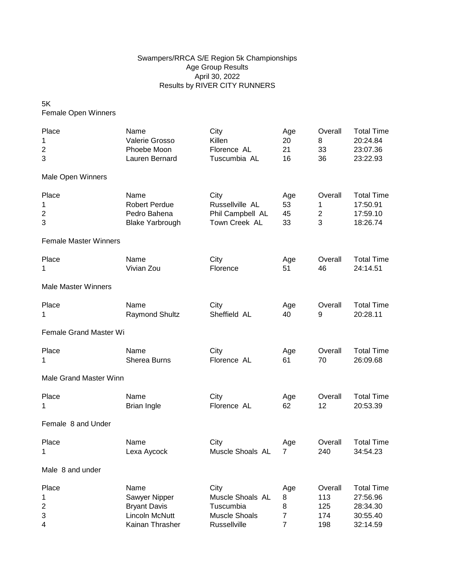## Swampers/RRCA S/E Region 5k Championships Age Group Results April 30, 2022 Results by RIVER CITY RUNNERS

5K Female Open Winners

| Place                        | Name                   | City                 | Age            | Overall          | <b>Total Time</b> |
|------------------------------|------------------------|----------------------|----------------|------------------|-------------------|
| 1                            | Valerie Grosso         | Killen               | 20             | 8                | 20:24.84          |
| 2                            | Phoebe Moon            | Florence AL          | 21             | 33               | 23:07.36          |
| 3                            | Lauren Bernard         | Tuscumbia AL         | 16             | 36               | 23:22.93          |
| Male Open Winners            |                        |                      |                |                  |                   |
| Place                        | Name                   | City                 | Age            | Overall          | <b>Total Time</b> |
| 1                            | <b>Robert Perdue</b>   | Russellville AL      | 53             | 1                | 17:50.91          |
| $\boldsymbol{2}$             | Pedro Bahena           | Phil Campbell AL     | 45             | $\boldsymbol{2}$ | 17:59.10          |
| 3                            | <b>Blake Yarbrough</b> | Town Creek AL        | 33             | 3                | 18:26.74          |
| <b>Female Master Winners</b> |                        |                      |                |                  |                   |
| Place                        | Name                   | City                 | Age            | Overall          | <b>Total Time</b> |
| 1                            | Vivian Zou             | Florence             | 51             | 46               | 24:14.51          |
| <b>Male Master Winners</b>   |                        |                      |                |                  |                   |
| Place                        | Name                   | City                 | Age            | Overall          | <b>Total Time</b> |
| 1                            | <b>Raymond Shultz</b>  | Sheffield AL         | 40             | 9                | 20:28.11          |
| Female Grand Master Wi       |                        |                      |                |                  |                   |
| Place                        | Name                   | City                 | Age            | Overall          | <b>Total Time</b> |
| 1                            | Sherea Burns           | Florence AL          | 61             | 70               | 26:09.68          |
| Male Grand Master Winn       |                        |                      |                |                  |                   |
| Place                        | Name                   | City                 | Age            | Overall          | <b>Total Time</b> |
| 1                            | <b>Brian Ingle</b>     | Florence AL          | 62             | 12               | 20:53.39          |
| Female 8 and Under           |                        |                      |                |                  |                   |
| Place                        | Name                   | City                 | Age            | Overall          | <b>Total Time</b> |
| 1                            | Lexa Aycock            | Muscle Shoals AL     | 7              | 240              | 34:54.23          |
| Male 8 and under             |                        |                      |                |                  |                   |
| Place                        | Name                   | City                 | Age            | Overall          | <b>Total Time</b> |
| 1                            | Sawyer Nipper          | Muscle Shoals AL     | 8              | 113              | 27:56.96          |
| $\overline{c}$               | <b>Bryant Davis</b>    | Tuscumbia            | 8              | 125              | 28:34.30          |
| 3                            | Lincoln McNutt         | <b>Muscle Shoals</b> | $\overline{7}$ | 174              | 30:55.40          |
| 4                            | Kainan Thrasher        | Russellville         | 7              | 198              | 32:14.59          |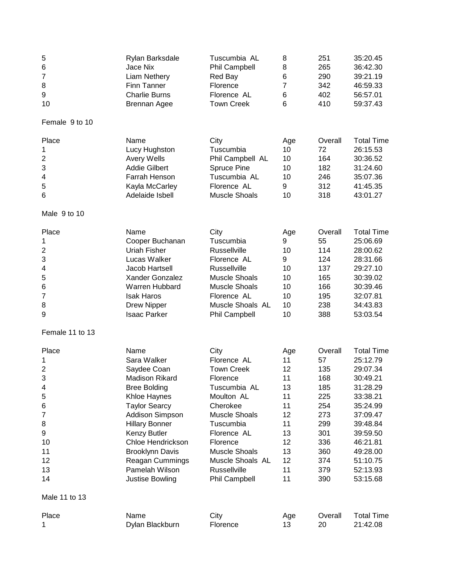| 5                                                                                                              | Rylan Barksdale                                                                                                                                                                                                                                                                               | Tuscumbia AL                                                                                                                                                                                                                                       | 8                                                                                       | 251                                                                                                      | 35:20.45                                                                                                                                                                                  |
|----------------------------------------------------------------------------------------------------------------|-----------------------------------------------------------------------------------------------------------------------------------------------------------------------------------------------------------------------------------------------------------------------------------------------|----------------------------------------------------------------------------------------------------------------------------------------------------------------------------------------------------------------------------------------------------|-----------------------------------------------------------------------------------------|----------------------------------------------------------------------------------------------------------|-------------------------------------------------------------------------------------------------------------------------------------------------------------------------------------------|
| 6                                                                                                              | Jace Nix                                                                                                                                                                                                                                                                                      | <b>Phil Campbell</b>                                                                                                                                                                                                                               | 8                                                                                       | 265                                                                                                      | 36:42.30                                                                                                                                                                                  |
| 7                                                                                                              | Liam Nethery                                                                                                                                                                                                                                                                                  | Red Bay                                                                                                                                                                                                                                            | 6                                                                                       | 290                                                                                                      | 39:21.19                                                                                                                                                                                  |
| 8                                                                                                              | Finn Tanner                                                                                                                                                                                                                                                                                   | Florence                                                                                                                                                                                                                                           | 7                                                                                       | 342                                                                                                      | 46:59.33                                                                                                                                                                                  |
| 9                                                                                                              | <b>Charlie Burns</b>                                                                                                                                                                                                                                                                          | Florence AL                                                                                                                                                                                                                                        | 6                                                                                       | 402                                                                                                      | 56:57.01                                                                                                                                                                                  |
| 10                                                                                                             | <b>Brennan Agee</b>                                                                                                                                                                                                                                                                           | <b>Town Creek</b>                                                                                                                                                                                                                                  | 6                                                                                       | 410                                                                                                      | 59:37.43                                                                                                                                                                                  |
| Female 9 to 10                                                                                                 |                                                                                                                                                                                                                                                                                               |                                                                                                                                                                                                                                                    |                                                                                         |                                                                                                          |                                                                                                                                                                                           |
| Place                                                                                                          | Name                                                                                                                                                                                                                                                                                          | City                                                                                                                                                                                                                                               | Age                                                                                     | Overall                                                                                                  | <b>Total Time</b>                                                                                                                                                                         |
| 1                                                                                                              | Lucy Hughston                                                                                                                                                                                                                                                                                 | Tuscumbia                                                                                                                                                                                                                                          | 10                                                                                      | 72                                                                                                       | 26:15.53                                                                                                                                                                                  |
| $\overline{\mathbf{c}}$                                                                                        | Avery Wells                                                                                                                                                                                                                                                                                   | Phil Campbell AL                                                                                                                                                                                                                                   | 10                                                                                      | 164                                                                                                      | 30:36.52                                                                                                                                                                                  |
| 3                                                                                                              | <b>Addie Gilbert</b>                                                                                                                                                                                                                                                                          | Spruce Pine                                                                                                                                                                                                                                        | 10                                                                                      | 182                                                                                                      | 31:24.60                                                                                                                                                                                  |
| 4                                                                                                              | Farrah Henson                                                                                                                                                                                                                                                                                 | Tuscumbia AL                                                                                                                                                                                                                                       | 10                                                                                      | 246                                                                                                      | 35:07.36                                                                                                                                                                                  |
| 5                                                                                                              | Kayla McCarley                                                                                                                                                                                                                                                                                | Florence AL                                                                                                                                                                                                                                        | 9                                                                                       | 312                                                                                                      | 41:45.35                                                                                                                                                                                  |
| 6                                                                                                              | Adelaide Isbell                                                                                                                                                                                                                                                                               | <b>Muscle Shoals</b>                                                                                                                                                                                                                               | 10                                                                                      | 318                                                                                                      | 43:01.27                                                                                                                                                                                  |
| Male 9 to 10                                                                                                   |                                                                                                                                                                                                                                                                                               |                                                                                                                                                                                                                                                    |                                                                                         |                                                                                                          |                                                                                                                                                                                           |
| Place                                                                                                          | Name                                                                                                                                                                                                                                                                                          | City                                                                                                                                                                                                                                               | Age                                                                                     | Overall                                                                                                  | <b>Total Time</b>                                                                                                                                                                         |
| 1                                                                                                              | Cooper Buchanan                                                                                                                                                                                                                                                                               | Tuscumbia                                                                                                                                                                                                                                          | 9                                                                                       | 55                                                                                                       | 25:06.69                                                                                                                                                                                  |
| $\overline{c}$                                                                                                 | <b>Uriah Fisher</b>                                                                                                                                                                                                                                                                           | <b>Russellville</b>                                                                                                                                                                                                                                | 10                                                                                      | 114                                                                                                      | 28:00.62                                                                                                                                                                                  |
| 3                                                                                                              | Lucas Walker                                                                                                                                                                                                                                                                                  | Florence AL                                                                                                                                                                                                                                        | 9                                                                                       | 124                                                                                                      | 28:31.66                                                                                                                                                                                  |
| 4                                                                                                              | Jacob Hartsell                                                                                                                                                                                                                                                                                | <b>Russellville</b>                                                                                                                                                                                                                                | 10                                                                                      | 137                                                                                                      | 29:27.10                                                                                                                                                                                  |
| 5                                                                                                              | Xander Gonzalez                                                                                                                                                                                                                                                                               | <b>Muscle Shoals</b>                                                                                                                                                                                                                               | 10                                                                                      | 165                                                                                                      | 30:39.02                                                                                                                                                                                  |
| 6                                                                                                              | Warren Hubbard                                                                                                                                                                                                                                                                                | <b>Muscle Shoals</b>                                                                                                                                                                                                                               | 10                                                                                      | 166                                                                                                      | 30:39.46                                                                                                                                                                                  |
| 7                                                                                                              | <b>Isak Haros</b>                                                                                                                                                                                                                                                                             | Florence AL                                                                                                                                                                                                                                        | 10                                                                                      | 195                                                                                                      | 32:07.81                                                                                                                                                                                  |
| 8                                                                                                              | <b>Drew Nipper</b>                                                                                                                                                                                                                                                                            | Muscle Shoals AL                                                                                                                                                                                                                                   | 10                                                                                      | 238                                                                                                      | 34:43.83                                                                                                                                                                                  |
| 9                                                                                                              | <b>Isaac Parker</b>                                                                                                                                                                                                                                                                           | <b>Phil Campbell</b>                                                                                                                                                                                                                               | 10                                                                                      | 388                                                                                                      | 53:03.54                                                                                                                                                                                  |
| Female 11 to 13                                                                                                |                                                                                                                                                                                                                                                                                               |                                                                                                                                                                                                                                                    |                                                                                         |                                                                                                          |                                                                                                                                                                                           |
| Place<br>1<br>$\overline{c}$<br>3<br>4<br>5<br>6<br>7<br>8<br>9<br>10<br>11<br>12<br>13<br>14<br>Male 11 to 13 | Name<br>Sara Walker<br>Saydee Coan<br>Madison Rikard<br><b>Bree Bolding</b><br>Khloe Haynes<br><b>Taylor Searcy</b><br>Addison Simpson<br><b>Hillary Bonner</b><br>Kenzy Butler<br><b>Chloe Hendrickson</b><br><b>Brooklynn Davis</b><br>Reagan Cummings<br>Pamelah Wilson<br>Justise Bowling | City<br>Florence AL<br><b>Town Creek</b><br>Florence<br>Tuscumbia AL<br>Moulton AL<br>Cherokee<br><b>Muscle Shoals</b><br>Tuscumbia<br>Florence AL<br>Florence<br><b>Muscle Shoals</b><br>Muscle Shoals AL<br>Russellville<br><b>Phil Campbell</b> | Age<br>11<br>12<br>11<br>13<br>11<br>11<br>12<br>11<br>13<br>12<br>13<br>12<br>11<br>11 | Overall<br>57<br>135<br>168<br>185<br>225<br>254<br>273<br>299<br>301<br>336<br>360<br>374<br>379<br>390 | <b>Total Time</b><br>25:12.79<br>29:07.34<br>30:49.21<br>31:28.29<br>33:38.21<br>35:24.99<br>37:09.47<br>39:48.84<br>39:59.50<br>46:21.81<br>49:28.00<br>51:10.75<br>52:13.93<br>53:15.68 |
| Place                                                                                                          | Name                                                                                                                                                                                                                                                                                          | City                                                                                                                                                                                                                                               | Age                                                                                     | Overall                                                                                                  | <b>Total Time</b>                                                                                                                                                                         |
| 1                                                                                                              | Dylan Blackburn                                                                                                                                                                                                                                                                               | Florence                                                                                                                                                                                                                                           | 13                                                                                      | 20                                                                                                       | 21:42.08                                                                                                                                                                                  |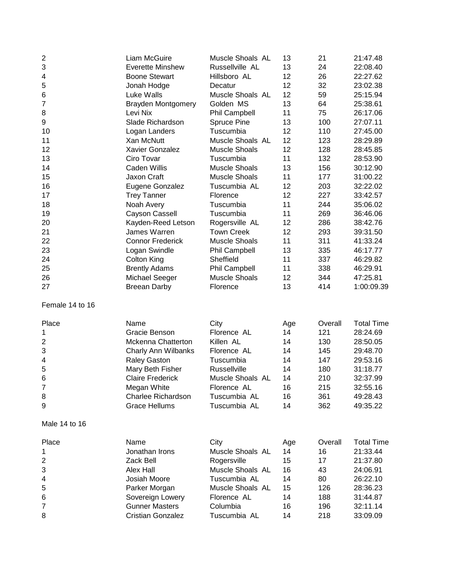| $\overline{\mathbf{c}}$<br>3<br>4<br>5<br>6<br>7<br>8<br>9<br>10<br>11<br>12<br>13<br>14<br>15<br>16<br>17<br>18<br>19<br>20<br>21<br>22<br>23 | Liam McGuire<br><b>Everette Minshew</b><br><b>Boone Stewart</b><br>Jonah Hodge<br>Luke Walls<br><b>Brayden Montgomery</b><br>Levi Nix<br>Slade Richardson<br>Logan Landers<br>Xan McNutt<br>Xavier Gonzalez<br>Ciro Tovar<br>Caden Willis<br>Jaxon Craft<br>Eugene Gonzalez<br><b>Trey Tanner</b><br>Noah Avery<br>Cayson Cassell<br>Kayden-Reed Letson<br>James Warren<br><b>Connor Frederick</b><br>Logan Swindle | Muscle Shoals AL<br>Russellville AL<br>Hillsboro AL<br>Decatur<br>Muscle Shoals AL<br>Golden MS<br><b>Phil Campbell</b><br>Spruce Pine<br>Tuscumbia<br>Muscle Shoals AL<br><b>Muscle Shoals</b><br>Tuscumbia<br><b>Muscle Shoals</b><br><b>Muscle Shoals</b><br>Tuscumbia AL<br>Florence<br>Tuscumbia<br>Tuscumbia<br>Rogersville AL<br><b>Town Creek</b><br><b>Muscle Shoals</b><br><b>Phil Campbell</b> | 13<br>13<br>12<br>12<br>12<br>13<br>11<br>13<br>12<br>12<br>12<br>11<br>13<br>11<br>12<br>12<br>11<br>11<br>12<br>12<br>11<br>13 | 21<br>24<br>26<br>32<br>59<br>64<br>75<br>100<br>110<br>123<br>128<br>132<br>156<br>177<br>203<br>227<br>244<br>269<br>286<br>293<br>311<br>335 | 21:47.48<br>22:08.40<br>22:27.62<br>23:02.38<br>25:15.94<br>25:38.61<br>26:17.06<br>27:07.11<br>27:45.00<br>28:29.89<br>28:45.85<br>28:53.90<br>30:12.90<br>31:00.22<br>32:22.02<br>33:42.57<br>35:06.02<br>36:46.06<br>38:42.76<br>39:31.50<br>41:33.24<br>46:17.77 |
|------------------------------------------------------------------------------------------------------------------------------------------------|---------------------------------------------------------------------------------------------------------------------------------------------------------------------------------------------------------------------------------------------------------------------------------------------------------------------------------------------------------------------------------------------------------------------|-----------------------------------------------------------------------------------------------------------------------------------------------------------------------------------------------------------------------------------------------------------------------------------------------------------------------------------------------------------------------------------------------------------|----------------------------------------------------------------------------------------------------------------------------------|-------------------------------------------------------------------------------------------------------------------------------------------------|----------------------------------------------------------------------------------------------------------------------------------------------------------------------------------------------------------------------------------------------------------------------|
| 24                                                                                                                                             | Colton King                                                                                                                                                                                                                                                                                                                                                                                                         | Sheffield                                                                                                                                                                                                                                                                                                                                                                                                 | 11                                                                                                                               | 337                                                                                                                                             | 46:29.82                                                                                                                                                                                                                                                             |
| 25                                                                                                                                             | <b>Brently Adams</b>                                                                                                                                                                                                                                                                                                                                                                                                | Phil Campbell                                                                                                                                                                                                                                                                                                                                                                                             | 11                                                                                                                               | 338                                                                                                                                             | 46:29.91                                                                                                                                                                                                                                                             |
| 26                                                                                                                                             | Michael Seeger                                                                                                                                                                                                                                                                                                                                                                                                      | <b>Muscle Shoals</b>                                                                                                                                                                                                                                                                                                                                                                                      | 12                                                                                                                               | 344                                                                                                                                             | 47:25.81                                                                                                                                                                                                                                                             |
| 27                                                                                                                                             | <b>Breean Darby</b>                                                                                                                                                                                                                                                                                                                                                                                                 | Florence                                                                                                                                                                                                                                                                                                                                                                                                  | 13                                                                                                                               | 414                                                                                                                                             | 1:00:09.39                                                                                                                                                                                                                                                           |
| Female 14 to 16                                                                                                                                |                                                                                                                                                                                                                                                                                                                                                                                                                     |                                                                                                                                                                                                                                                                                                                                                                                                           |                                                                                                                                  |                                                                                                                                                 |                                                                                                                                                                                                                                                                      |
| Place                                                                                                                                          | Name                                                                                                                                                                                                                                                                                                                                                                                                                | City                                                                                                                                                                                                                                                                                                                                                                                                      | Age                                                                                                                              | Overall                                                                                                                                         | <b>Total Time</b>                                                                                                                                                                                                                                                    |
| 1                                                                                                                                              | Gracie Benson                                                                                                                                                                                                                                                                                                                                                                                                       | Florence AL                                                                                                                                                                                                                                                                                                                                                                                               | 14                                                                                                                               | 121                                                                                                                                             | 28:24.69                                                                                                                                                                                                                                                             |
| $\overline{c}$                                                                                                                                 | <b>Mckenna Chatterton</b>                                                                                                                                                                                                                                                                                                                                                                                           | Killen AL                                                                                                                                                                                                                                                                                                                                                                                                 | 14                                                                                                                               | 130                                                                                                                                             | 28:50.05                                                                                                                                                                                                                                                             |
| 3                                                                                                                                              | <b>Charly Ann Wilbanks</b>                                                                                                                                                                                                                                                                                                                                                                                          | Florence AL                                                                                                                                                                                                                                                                                                                                                                                               | 14                                                                                                                               | 145                                                                                                                                             | 29:48.70                                                                                                                                                                                                                                                             |
| 4                                                                                                                                              | <b>Raley Gaston</b>                                                                                                                                                                                                                                                                                                                                                                                                 | Tuscumbia                                                                                                                                                                                                                                                                                                                                                                                                 | 14                                                                                                                               | 147                                                                                                                                             | 29:53.16                                                                                                                                                                                                                                                             |
| 5                                                                                                                                              | Mary Beth Fisher                                                                                                                                                                                                                                                                                                                                                                                                    | Russellville                                                                                                                                                                                                                                                                                                                                                                                              | 14                                                                                                                               | 180                                                                                                                                             | 31:18.77                                                                                                                                                                                                                                                             |
| 6                                                                                                                                              | <b>Claire Frederick</b>                                                                                                                                                                                                                                                                                                                                                                                             | Muscle Shoals AL                                                                                                                                                                                                                                                                                                                                                                                          | 14                                                                                                                               | 210                                                                                                                                             | 32:37.99                                                                                                                                                                                                                                                             |
| 7                                                                                                                                              | Megan White                                                                                                                                                                                                                                                                                                                                                                                                         | Florence AL                                                                                                                                                                                                                                                                                                                                                                                               | 16                                                                                                                               | 215                                                                                                                                             | 32:55.16                                                                                                                                                                                                                                                             |
| 8                                                                                                                                              | Charlee Richardson                                                                                                                                                                                                                                                                                                                                                                                                  | Tuscumbia AL                                                                                                                                                                                                                                                                                                                                                                                              | 16                                                                                                                               | 361                                                                                                                                             | 49:28.43                                                                                                                                                                                                                                                             |
| 9                                                                                                                                              | <b>Grace Hellums</b>                                                                                                                                                                                                                                                                                                                                                                                                | Tuscumbia AL                                                                                                                                                                                                                                                                                                                                                                                              | 14                                                                                                                               | 362                                                                                                                                             | 49:35.22                                                                                                                                                                                                                                                             |
| Male 14 to 16                                                                                                                                  |                                                                                                                                                                                                                                                                                                                                                                                                                     |                                                                                                                                                                                                                                                                                                                                                                                                           |                                                                                                                                  |                                                                                                                                                 |                                                                                                                                                                                                                                                                      |
| Place                                                                                                                                          | Name                                                                                                                                                                                                                                                                                                                                                                                                                | City                                                                                                                                                                                                                                                                                                                                                                                                      | Age                                                                                                                              | Overall                                                                                                                                         | <b>Total Time</b>                                                                                                                                                                                                                                                    |
| 1                                                                                                                                              | Jonathan Irons                                                                                                                                                                                                                                                                                                                                                                                                      | Muscle Shoals AL                                                                                                                                                                                                                                                                                                                                                                                          | 14                                                                                                                               | 16                                                                                                                                              | 21:33.44                                                                                                                                                                                                                                                             |
| $\overline{\mathbf{c}}$                                                                                                                        | Zack Bell                                                                                                                                                                                                                                                                                                                                                                                                           | Rogersville                                                                                                                                                                                                                                                                                                                                                                                               | 15                                                                                                                               | 17                                                                                                                                              | 21:37.80                                                                                                                                                                                                                                                             |
| 3                                                                                                                                              | Alex Hall                                                                                                                                                                                                                                                                                                                                                                                                           | Muscle Shoals AL                                                                                                                                                                                                                                                                                                                                                                                          | 16                                                                                                                               | 43                                                                                                                                              | 24:06.91                                                                                                                                                                                                                                                             |
| 4                                                                                                                                              | Josiah Moore                                                                                                                                                                                                                                                                                                                                                                                                        | Tuscumbia AL                                                                                                                                                                                                                                                                                                                                                                                              | 14                                                                                                                               | 80                                                                                                                                              | 26:22.10                                                                                                                                                                                                                                                             |
| 5                                                                                                                                              | Parker Morgan                                                                                                                                                                                                                                                                                                                                                                                                       | Muscle Shoals AL                                                                                                                                                                                                                                                                                                                                                                                          | 15                                                                                                                               | 126                                                                                                                                             | 28:36.23                                                                                                                                                                                                                                                             |
| 6                                                                                                                                              | Sovereign Lowery                                                                                                                                                                                                                                                                                                                                                                                                    | Florence AL                                                                                                                                                                                                                                                                                                                                                                                               | 14                                                                                                                               | 188                                                                                                                                             | 31:44.87                                                                                                                                                                                                                                                             |
| $\overline{7}$                                                                                                                                 | <b>Gunner Masters</b>                                                                                                                                                                                                                                                                                                                                                                                               | Columbia                                                                                                                                                                                                                                                                                                                                                                                                  | 16                                                                                                                               | 196                                                                                                                                             | 32:11.14                                                                                                                                                                                                                                                             |
| 8                                                                                                                                              | <b>Cristian Gonzalez</b>                                                                                                                                                                                                                                                                                                                                                                                            | Tuscumbia AL                                                                                                                                                                                                                                                                                                                                                                                              | 14                                                                                                                               | 218                                                                                                                                             | 33:09.09                                                                                                                                                                                                                                                             |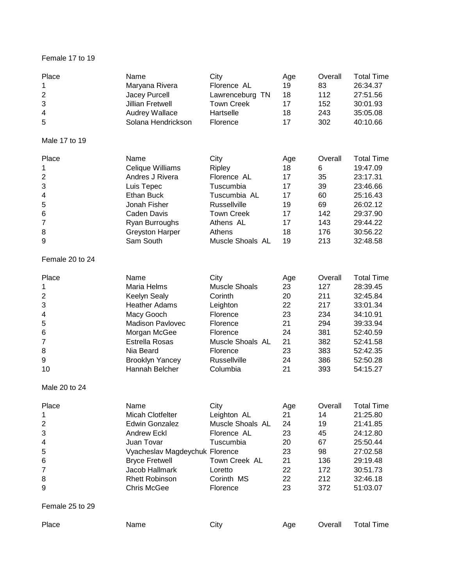## Female 17 to 19

| Place<br>1<br>$\overline{c}$<br>3<br>$\overline{\mathcal{A}}$<br>5       | Name<br>Maryana Rivera<br>Jacey Purcell<br><b>Jillian Fretwell</b><br><b>Audrey Wallace</b><br>Solana Hendrickson                                                                                                        | City<br>Florence AL<br>Lawrenceburg TN<br><b>Town Creek</b><br>Hartselle<br>Florence                                                                | Age<br>19<br>18<br>17<br>18<br>17                               | Overall<br>83<br>112<br>152<br>243<br>302                                     | <b>Total Time</b><br>26:34.37<br>27:51.56<br>30:01.93<br>35:05.08<br>40:10.66                                                             |
|--------------------------------------------------------------------------|--------------------------------------------------------------------------------------------------------------------------------------------------------------------------------------------------------------------------|-----------------------------------------------------------------------------------------------------------------------------------------------------|-----------------------------------------------------------------|-------------------------------------------------------------------------------|-------------------------------------------------------------------------------------------------------------------------------------------|
| Male 17 to 19                                                            |                                                                                                                                                                                                                          |                                                                                                                                                     |                                                                 |                                                                               |                                                                                                                                           |
| Place<br>1<br>$\overline{c}$<br>3<br>4<br>5<br>6<br>7<br>8<br>9          | Name<br>Celique Williams<br>Andres J Rivera<br>Luis Tepec<br>Ethan Buck<br>Jonah Fisher<br>Caden Davis<br>Ryan Burroughs<br><b>Greyston Harper</b><br>Sam South                                                          | City<br>Ripley<br>Florence AL<br>Tuscumbia<br>Tuscumbia AL<br>Russellville<br><b>Town Creek</b><br>Athens AL<br>Athens<br>Muscle Shoals AL          | Age<br>18<br>17<br>17<br>17<br>19<br>17<br>17<br>18<br>19       | Overall<br>6<br>35<br>39<br>60<br>69<br>142<br>143<br>176<br>213              | <b>Total Time</b><br>19:47.09<br>23:17.31<br>23:46.66<br>25:16.43<br>26:02.12<br>29:37.90<br>29:44.22<br>30:56.22<br>32:48.58             |
| Female 20 to 24                                                          |                                                                                                                                                                                                                          |                                                                                                                                                     |                                                                 |                                                                               |                                                                                                                                           |
| Place<br>1<br>$\overline{2}$<br>3<br>4<br>5<br>6<br>7<br>8<br>9<br>10    | Name<br>Maria Helms<br>Keelyn Sealy<br><b>Heather Adams</b><br>Macy Gooch<br><b>Madison Pavlovec</b><br>Morgan McGee<br>Estrella Rosas<br>Nia Beard<br><b>Brooklyn Yancey</b><br>Hannah Belcher                          | City<br><b>Muscle Shoals</b><br>Corinth<br>Leighton<br>Florence<br>Florence<br>Florence<br>Muscle Shoals AL<br>Florence<br>Russellville<br>Columbia | Age<br>23<br>20<br>22<br>23<br>21<br>24<br>21<br>23<br>24<br>21 | Overall<br>127<br>211<br>217<br>234<br>294<br>381<br>382<br>383<br>386<br>393 | <b>Total Time</b><br>28:39.45<br>32:45.84<br>33:01.34<br>34:10.91<br>39:33.94<br>52:40.59<br>52:41.58<br>52:42.35<br>52:50.28<br>54:15.27 |
| Male 20 to 24                                                            |                                                                                                                                                                                                                          |                                                                                                                                                     |                                                                 |                                                                               |                                                                                                                                           |
| Place<br>1<br>$\overline{\mathbf{c}}$<br>3<br>4<br>5<br>6<br>7<br>8<br>9 | Name<br><b>Micah Clotfelter</b><br><b>Edwin Gonzalez</b><br><b>Andrew Eckl</b><br>Juan Tovar<br>Vyacheslav Magdeychuk Florence<br><b>Bryce Fretwell</b><br>Jacob Hallmark<br><b>Rhett Robinson</b><br><b>Chris McGee</b> | City<br>Leighton AL<br>Muscle Shoals AL<br>Florence AL<br>Tuscumbia<br>Town Creek AL<br>Loretto<br>Corinth MS<br>Florence                           | Age<br>21<br>24<br>23<br>20<br>23<br>21<br>22<br>22<br>23       | Overall<br>14<br>19<br>45<br>67<br>98<br>136<br>172<br>212<br>372             | <b>Total Time</b><br>21:25.80<br>21:41.85<br>24:12.80<br>25:50.44<br>27:02.58<br>29:19.48<br>30:51.73<br>32:46.18<br>51:03.07             |
| Female 25 to 29                                                          |                                                                                                                                                                                                                          |                                                                                                                                                     |                                                                 |                                                                               |                                                                                                                                           |
| Place                                                                    | Name                                                                                                                                                                                                                     | City                                                                                                                                                | Age                                                             | Overall                                                                       | <b>Total Time</b>                                                                                                                         |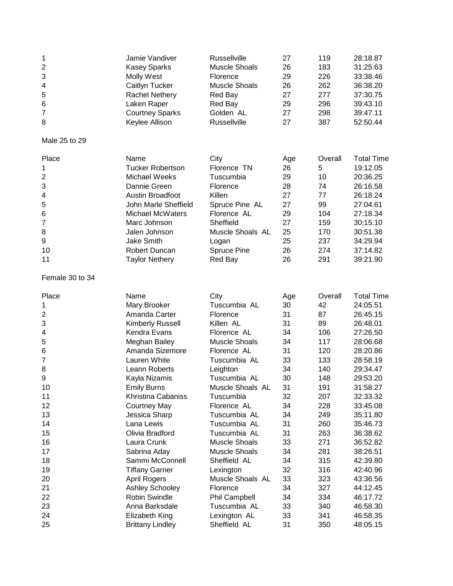| 1                       | Jamie Vandiver          | <b>Russellville</b>  | 27  | 119     | 28:18.87          |
|-------------------------|-------------------------|----------------------|-----|---------|-------------------|
| $\overline{c}$          | <b>Kasey Sparks</b>     | <b>Muscle Shoals</b> | 26  | 183     | 31:25.63          |
| 3                       | <b>Molly West</b>       | Florence             | 29  | 226     | 33:38.46          |
| 4                       | Caitlyn Tucker          | <b>Muscle Shoals</b> | 26  | 262     | 36:38.20          |
| 5                       | <b>Rachel Nethery</b>   | Red Bay              | 27  | 277     | 37:30.75          |
| 6                       | Laken Raper             | Red Bay              | 29  | 296     | 39:43.10          |
| 7                       | <b>Courtney Sparks</b>  | Golden AL            | 27  | 298     | 39:47.11          |
| 8                       | Keylee Allison          | Russellville         | 27  | 387     | 52:50.44          |
| Male 25 to 29           |                         |                      |     |         |                   |
| Place                   | Name                    | City                 | Age | Overall | <b>Total Time</b> |
| 1                       | <b>Tucker Robertson</b> | Florence TN          | 26  | 5       | 19:12.05          |
| $\overline{c}$          | Michael Weeks           | Tuscumbia            | 29  | 10      | 20:36.25          |
| 3                       | Dannie Green            | Florence             | 28  | 74      | 26:16.58          |
| 4                       | Austin Broadfoot        | Killen               | 27  | 77      | 26:18.24          |
| 5                       | John Marle Sheffield    | Spruce Pine AL       | 27  | 99      | 27:04.61          |
| 6                       | <b>Michael McWaters</b> | Florence AL          | 29  | 104     | 27:18.34          |
| $\overline{7}$          | Marc Johnson            | Sheffield            | 27  | 159     | 30:15.10          |
| 8                       | Jalen Johnson           | Muscle Shoals AL     | 25  | 170     | 30:51.38          |
| 9                       | <b>Jake Smith</b>       | Logan                | 25  | 237     | 34:29.94          |
| 10                      | Robert Duncan           | <b>Spruce Pine</b>   | 26  | 274     | 37:14.82          |
| 11                      | <b>Taylor Nethery</b>   | Red Bay              | 26  | 291     | 39:21.90          |
| Female 30 to 34         |                         |                      |     |         |                   |
| Place                   | Name                    | City                 | Age | Overall | <b>Total Time</b> |
| 1                       | Mary Brooker            | Tuscumbia AL         | 30  | 42      | 24:05.51          |
| $\overline{\mathbf{c}}$ | Amanda Carter           | Florence             | 31  | 87      | 26:45.15          |
| 3                       | Kimberly Russell        | Killen AL            | 31  | 89      | 26:48.01          |
| 4                       | Kendra Evans            | Florence AL          | 34  | 106     | 27:26.50          |
| 5                       | Meghan Bailey           | <b>Muscle Shoals</b> | 34  | 117     | 28:06.68          |
| 6                       | Amanda Sizemore         | Florence AL          | 31  | 120     | 28:20.86          |
| 7                       | Lauren White            | Tuscumbia AL         | 33  | 133     | 28:58.19          |
| 8                       | Leann Roberts           | Leighton             | 34  | 140     | 29:34.47          |
| 9                       | Kayla Nizamis           | Tuscumbia AL         | 30  | 148     | 29:53.20          |
| 10                      | <b>Emily Burns</b>      | Muscle Shoals AL     | 31  | 191     | 31:58.27          |
| 11                      | Khristina Cabaniss      | Tuscumbia            | 32  | 207     | 32:33.32          |
| 12                      | <b>Courtney May</b>     | Florence AL          | 34  | 228     | 33:45.08          |
| 13                      | Jessica Sharp           | Tuscumbia AL         | 34  | 249     | 35:11.80          |
| 14                      | Lana Lewis              | Tuscumbia AL         | 31  | 260     | 35:46.73          |
| 15                      | Olivia Bradford         | Tuscumbia AL         | 31  | 263     | 36:38.62          |
| 16                      | Laura Crunk             | <b>Muscle Shoals</b> | 33  | 271     | 36:52.82          |
| 17                      | Sabrina Aday            | <b>Muscle Shoals</b> | 34  | 281     | 38:26.51          |
| 18                      | Sammi McConnell         | Sheffield AL         | 34  | 315     | 42:39.80          |
| 19                      | <b>Tiffany Garner</b>   | Lexington            | 32  | 316     | 42:40.96          |
| 20                      | <b>April Rogers</b>     | Muscle Shoals AL     | 33  | 323     | 43:36.56          |
| 21                      | <b>Ashley Schooley</b>  | Florence             | 34  | 327     | 44:12.45          |
| 22                      | Robin Swindle           | Phil Campbell        | 34  | 334     | 46:17.72          |
| 23                      | Anna Barksdale          | Tuscumbia AL         | 33  | 340     | 46:58.30          |
| 24                      | Elizabeth King          | Lexington AL         | 33  | 341     | 46:58.35          |
| 25                      | <b>Brittany Lindley</b> | Sheffield AL         | 31  | 350     | 48:05.15          |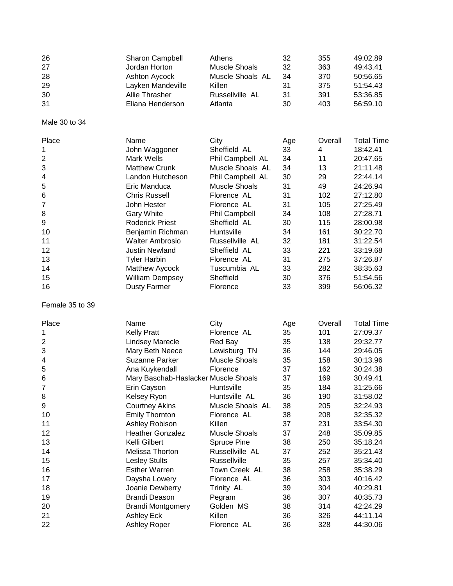| 26<br>27<br>28<br>29<br>30<br>31 | <b>Sharon Campbell</b><br>Jordan Horton<br>Ashton Aycock<br>Layken Mandeville<br>Allie Thrasher<br>Eliana Henderson | Athens<br><b>Muscle Shoals</b><br>Muscle Shoals AL<br>Killen<br>Russellville AL<br>Atlanta | 32<br>32<br>34<br>31<br>31<br>30 | 355<br>363<br>370<br>375<br>391<br>403 | 49:02.89<br>49:43.41<br>50:56.65<br>51:54.43<br>53:36.85<br>56:59.10 |
|----------------------------------|---------------------------------------------------------------------------------------------------------------------|--------------------------------------------------------------------------------------------|----------------------------------|----------------------------------------|----------------------------------------------------------------------|
| Male 30 to 34                    |                                                                                                                     |                                                                                            |                                  |                                        |                                                                      |
| Place                            | Name                                                                                                                | City                                                                                       | Age                              | Overall                                | <b>Total Time</b>                                                    |
| 1                                | John Waggoner                                                                                                       | Sheffield AL                                                                               | 33                               | 4                                      | 18:42.41                                                             |
| $\overline{c}$                   | Mark Wells                                                                                                          | Phil Campbell AL                                                                           | 34                               | 11                                     | 20:47.65                                                             |
| 3                                | <b>Matthew Crunk</b>                                                                                                | Muscle Shoals AL                                                                           | 34                               | 13                                     | 21:11.48                                                             |
| $\overline{\mathbf{4}}$          | Landon Hutcheson                                                                                                    | Phil Campbell AL                                                                           | 30                               | 29                                     | 22:44.14                                                             |
| 5                                | Eric Manduca                                                                                                        | <b>Muscle Shoals</b>                                                                       | 31                               | 49                                     | 24:26.94                                                             |
| 6                                | <b>Chris Russell</b>                                                                                                | Florence AL                                                                                | 31                               | 102                                    | 27:12.80                                                             |
| 7                                | John Hester                                                                                                         | Florence AL                                                                                | 31                               | 105                                    | 27:25.49                                                             |
| 8                                | <b>Gary White</b>                                                                                                   | Phil Campbell                                                                              | 34                               | 108                                    | 27:28.71                                                             |
| 9                                | <b>Roderick Priest</b>                                                                                              | Sheffield AL                                                                               | 30                               | 115                                    | 28:00.98                                                             |
| 10                               | Benjamin Richman                                                                                                    | Huntsville                                                                                 | 34                               | 161                                    | 30:22.70                                                             |
| 11                               | <b>Walter Ambrosio</b>                                                                                              | Russellville AL                                                                            | 32                               | 181                                    | 31:22.54                                                             |
| 12                               | <b>Justin Newland</b>                                                                                               | Sheffield AL                                                                               | 33                               | 221                                    | 33:19.68                                                             |
| 13                               | <b>Tyler Harbin</b>                                                                                                 | Florence AL                                                                                | 31                               | 275                                    | 37:26.87                                                             |
| 14                               | Matthew Aycock                                                                                                      | Tuscumbia AL                                                                               | 33                               | 282                                    | 38:35.63                                                             |
| 15                               | <b>William Dempsey</b>                                                                                              | Sheffield                                                                                  | 30                               | 376                                    | 51:54.56                                                             |
| 16                               | <b>Dusty Farmer</b>                                                                                                 | Florence                                                                                   | 33                               | 399                                    | 56:06.32                                                             |
| Female 35 to 39                  |                                                                                                                     |                                                                                            |                                  |                                        |                                                                      |
| Place                            | Name                                                                                                                | City                                                                                       | Age                              | Overall                                | <b>Total Time</b>                                                    |
| 1                                | <b>Kelly Pratt</b>                                                                                                  | Florence AL                                                                                | 35                               | 101                                    | 27:09.37                                                             |
| $\overline{c}$                   | <b>Lindsey Marecle</b>                                                                                              | Red Bay                                                                                    | 35                               | 138                                    | 29:32.77                                                             |
| 3                                | Mary Beth Neece                                                                                                     | Lewisburg TN                                                                               | 36                               | 144                                    | 29:46.05                                                             |
| 4                                | <b>Suzanne Parker</b>                                                                                               | <b>Muscle Shoals</b>                                                                       | 35                               | 158                                    | 30:13.96                                                             |
| 5                                | Ana Kuykendall                                                                                                      | Florence                                                                                   | 37                               | 162                                    | 30:24.38                                                             |
| 6                                | Mary Baschab-Haslacker Muscle Shoals                                                                                |                                                                                            | 37                               | 169                                    | 30:49.41                                                             |
| 7                                | Erin Cayson                                                                                                         | Huntsville                                                                                 | 35                               | 184                                    | 31:25.66                                                             |
| 8                                | Kelsey Ryon                                                                                                         | Huntsville AL                                                                              | 36                               | 190                                    | 31:58.02                                                             |
| 9                                | <b>Courtney Akins</b>                                                                                               | Muscle Shoals AL                                                                           | 38                               | 205                                    | 32:24.93                                                             |
| 10                               | <b>Emily Thornton</b>                                                                                               | Florence AL                                                                                | 38                               | 208                                    | 32:35.32                                                             |
| 11                               | Ashley Robison                                                                                                      | Killen                                                                                     | 37                               | 231                                    | 33:54.30                                                             |
| 12                               | <b>Heather Gonzalez</b>                                                                                             | <b>Muscle Shoals</b>                                                                       | 37                               | 248                                    | 35:09.85                                                             |
| 13                               | Kelli Gilbert                                                                                                       | <b>Spruce Pine</b>                                                                         | 38                               | 250                                    | 35:18.24                                                             |
| 14                               | Melissa Thorton                                                                                                     | Russellville AL                                                                            | 37                               | 252                                    | 35:21.43                                                             |
| 15                               | <b>Lesley Stults</b>                                                                                                | Russellville                                                                               | 35                               | 257                                    | 35:34.40                                                             |
| 16                               | <b>Esther Warren</b>                                                                                                | Town Creek AL                                                                              | 38                               | 258                                    | 35:38.29                                                             |
| 17                               | Daysha Lowery                                                                                                       | Florence AL                                                                                | 36                               | 303                                    | 40:16.42                                                             |
| 18                               | Joanie Dewberry                                                                                                     | Trinity AL                                                                                 | 39                               | 304                                    | 40:29.81                                                             |
| 19                               | <b>Brandi Deason</b>                                                                                                | Pegram                                                                                     | 36                               | 307                                    | 40:35.73                                                             |
| 20                               | <b>Brandi Montgomery</b>                                                                                            | Golden MS                                                                                  | 38                               | 314                                    | 42:24.29                                                             |
| 21                               | Ashley Eck                                                                                                          | Killen                                                                                     | 36                               | 326                                    | 44:11.14                                                             |
| 22                               | Ashley Roper                                                                                                        | Florence AL                                                                                | 36                               | 328                                    | 44:30.06                                                             |
|                                  |                                                                                                                     |                                                                                            |                                  |                                        |                                                                      |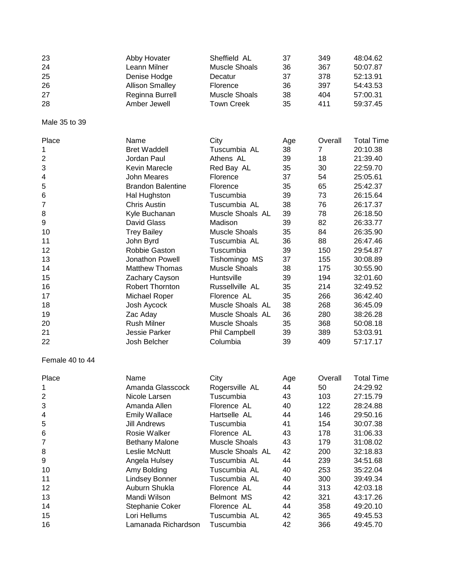| 23              | Abby Hovater             | Sheffield AL         | 37  | 349            | 48:04.62          |
|-----------------|--------------------------|----------------------|-----|----------------|-------------------|
| 24              | Leann Milner             | <b>Muscle Shoals</b> | 36  | 367            | 50:07.87          |
| 25              | Denise Hodge             | Decatur              | 37  | 378            | 52:13.91          |
| 26              | <b>Allison Smalley</b>   | Florence             | 36  | 397            | 54:43.53          |
| 27              | Reginna Burrell          | <b>Muscle Shoals</b> | 38  | 404            | 57:00.31          |
| 28              | Amber Jewell             | <b>Town Creek</b>    | 35  | 411            | 59:37.45          |
|                 |                          |                      |     |                |                   |
| Male 35 to 39   |                          |                      |     |                |                   |
| Place           | Name                     | City                 | Age | Overall        | <b>Total Time</b> |
| 1               | <b>Bret Waddell</b>      | Tuscumbia AL         | 38  | $\overline{7}$ | 20:10.38          |
| 2               | Jordan Paul              | Athens AL            | 39  | 18             | 21:39.40          |
| 3               | Kevin Marecle            | Red Bay AL           | 35  | 30             | 22:59.70          |
| 4               | <b>John Meares</b>       | Florence             | 37  | 54             | 25:05.61          |
| 5               | <b>Brandon Balentine</b> | Florence             | 35  | 65             | 25:42.37          |
| 6               | Hal Hughston             | Tuscumbia            | 39  | 73             | 26:15.64          |
| $\overline{7}$  | <b>Chris Austin</b>      | Tuscumbia AL         | 38  | 76             | 26:17.37          |
| 8               | Kyle Buchanan            | Muscle Shoals AL     | 39  | 78             | 26:18.50          |
| 9               | David Glass              | Madison              | 39  | 82             | 26:33.77          |
| 10              | <b>Trey Bailey</b>       | <b>Muscle Shoals</b> | 35  | 84             | 26:35.90          |
| 11              | John Byrd                | Tuscumbia AL         | 36  | 88             | 26:47.46          |
| 12              | Robbie Gaston            | Tuscumbia            | 39  | 150            | 29:54.87          |
| 13              | Jonathon Powell          | Tishomingo MS        | 37  | 155            | 30:08.89          |
| 14              | <b>Matthew Thomas</b>    | <b>Muscle Shoals</b> | 38  | 175            | 30:55.90          |
| 15              | Zachary Cayson           | Huntsville           | 39  | 194            | 32:01.60          |
| 16              | Robert Thornton          | Russellville AL      | 35  | 214            | 32:49.52          |
| 17              | Michael Roper            | Florence AL          | 35  | 266            | 36:42.40          |
| 18              | Josh Aycock              | Muscle Shoals AL     | 38  | 268            | 36:45.09          |
| 19              | Zac Aday                 | Muscle Shoals AL     | 36  | 280            | 38:26.28          |
| 20              | <b>Rush Milner</b>       | <b>Muscle Shoals</b> | 35  | 368            | 50:08.18          |
| 21              | Jessie Parker            | <b>Phil Campbell</b> | 39  | 389            | 53:03.91          |
| 22              | Josh Belcher             | Columbia             | 39  | 409            | 57:17.17          |
|                 |                          |                      |     |                |                   |
| Female 40 to 44 |                          |                      |     |                |                   |
| Place           | Name                     | City                 | Age | Overall        | <b>Total Time</b> |
| 1               | Amanda Glasscock         | Rogersville AL       | 44  | 50             | 24:29.92          |
| 2               | Nicole Larsen            | Tuscumbia            | 43  | 103            | 27:15.79          |
| 3               | Amanda Allen             | Florence AL          | 40  | 122            | 28:24.88          |
| 4               | <b>Emily Wallace</b>     | Hartselle AL         | 44  | 146            | 29:50.16          |
| 5               | <b>Jill Andrews</b>      | Tuscumbia            | 41  | 154            | 30:07.38          |
| 6               | Rosie Walker             | Florence AL          | 43  | 178            | 31:06.33          |
| 7               | <b>Bethany Malone</b>    | <b>Muscle Shoals</b> | 43  | 179            | 31:08.02          |
| 8               | Leslie McNutt            | Muscle Shoals AL     | 42  | 200            | 32:18.83          |
| 9               | Angela Hulsey            | Tuscumbia AL         | 44  | 239            | 34:51.68          |
| 10              | Amy Bolding              | Tuscumbia AL         | 40  | 253            | 35:22.04          |
| 11              | <b>Lindsey Bonner</b>    | Tuscumbia AL         | 40  | 300            | 39:49.34          |
| 12              | Auburn Shukla            | Florence AL          | 44  | 313            | 42:03.18          |
| 13              | Mandi Wilson             | <b>Belmont MS</b>    | 42  | 321            | 43:17.26          |
| 14              | Stephanie Coker          | Florence AL          | 44  | 358            | 49:20.10          |
| 15              | Lori Hellums             | Tuscumbia AL         | 42  | 365            | 49:45.53          |
| 16              | Lamanada Richardson      | Tuscumbia            | 42  | 366            | 49:45.70          |
|                 |                          |                      |     |                |                   |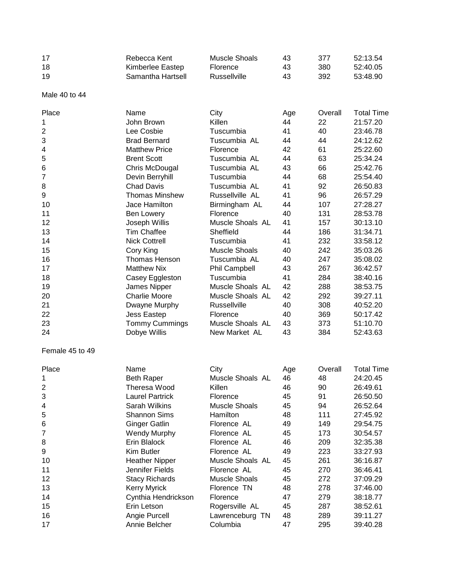| 17 | Rebecca Kent      | Muscle Shoals | 43 | 377 | 52:13.54 |
|----|-------------------|---------------|----|-----|----------|
| 18 | Kimberlee Eastep  | Florence      | 43 | 380 | 52:40.05 |
| 19 | Samantha Hartsell | Russellville  | 43 | 392 | 53:48.90 |

Male 40 to 44

| Place           | Name                   | City                 | Age | Overall | <b>Total Time</b> |
|-----------------|------------------------|----------------------|-----|---------|-------------------|
| 1               | John Brown             | Killen               | 44  | 22      | 21:57.20          |
| $\overline{c}$  | Lee Cosbie             | Tuscumbia            | 41  | 40      | 23:46.78          |
| 3               | <b>Brad Bernard</b>    | Tuscumbia AL         | 44  | 44      | 24:12.62          |
| 4               | <b>Matthew Price</b>   | Florence             | 42  | 61      | 25:22.60          |
| 5               | <b>Brent Scott</b>     | Tuscumbia AL         | 44  | 63      | 25:34.24          |
| 6               | Chris McDougal         | Tuscumbia AL         | 43  | 66      | 25:42.76          |
| 7               | Devin Berryhill        | Tuscumbia            | 44  | 68      | 25:54.40          |
| 8               | <b>Chad Davis</b>      | Tuscumbia AL         | 41  | 92      | 26:50.83          |
|                 |                        |                      |     | 96      |                   |
| 9               | <b>Thomas Minshew</b>  | Russellville AL      | 41  |         | 26:57.29          |
| 10              | Jace Hamilton          | Birmingham AL        | 44  | 107     | 27:28.27          |
| 11              | Ben Lowery             | Florence             | 40  | 131     | 28:53.78          |
| 12              | Joseph Willis          | Muscle Shoals AL     | 41  | 157     | 30:13.10          |
| 13              | <b>Tim Chaffee</b>     | Sheffield            | 44  | 186     | 31:34.71          |
| 14              | <b>Nick Cottrell</b>   | Tuscumbia            | 41  | 232     | 33:58.12          |
| 15              | Cory King              | <b>Muscle Shoals</b> | 40  | 242     | 35:03.26          |
| 16              | Thomas Henson          | Tuscumbia AL         | 40  | 247     | 35:08.02          |
| 17              | <b>Matthew Nix</b>     | Phil Campbell        | 43  | 267     | 36:42.57          |
| 18              | Casey Eggleston        | Tuscumbia            | 41  | 284     | 38:40.16          |
| 19              | James Nipper           | Muscle Shoals AL     | 42  | 288     | 38:53.75          |
| 20              | <b>Charlie Moore</b>   | Muscle Shoals AL     | 42  | 292     | 39:27.11          |
| 21              | Dwayne Murphy          | Russellville         | 40  | 308     | 40:52.20          |
| 22              | Jess Eastep            | Florence             | 40  | 369     | 50:17.42          |
| 23              | <b>Tommy Cummings</b>  | Muscle Shoals AL     | 43  | 373     | 51:10.70          |
| 24              | Dobye Willis           | New Market AL        | 43  | 384     | 52:43.63          |
| Female 45 to 49 |                        |                      |     |         |                   |
| Place           | Name                   | City                 | Age | Overall | <b>Total Time</b> |
| 1               | <b>Beth Raper</b>      | Muscle Shoals AL     | 46  | 48      | 24:20.45          |
| 2               | Theresa Wood           | Killen               | 46  | 90      | 26:49.61          |
| 3               | <b>Laurel Partrick</b> | Florence             | 45  | 91      | 26:50.50          |
| 4               | Sarah Wilkins          | <b>Muscle Shoals</b> | 45  | 94      | 26:52.64          |
| 5               | <b>Shannon Sims</b>    | Hamilton             | 48  | 111     | 27:45.92          |
| 6               | <b>Ginger Gatlin</b>   | Florence AL          | 49  | 149     | 29:54.75          |
| 7               | <b>Wendy Murphy</b>    | Florence AL          | 45  | 173     | 30:54.57          |
| 8               | Erin Blalock           | Florence AL          | 46  | 209     | 32:35.38          |
| 9               | Kim Butler             | Florence AL          | 49  | 223     | 33:27.93          |
| 10              | <b>Heather Nipper</b>  | Muscle Shoals AL     | 45  | 261     | 36:16.87          |
| 11              | Jennifer Fields        | Florence AL          | 45  | 270     | 36:46.41          |
|                 |                        | <b>Muscle Shoals</b> |     | 272     |                   |
| 12              | <b>Stacy Richards</b>  |                      | 45  |         | 37:09.29          |
| 13              | <b>Kerry Myrick</b>    | Florence TN          | 48  | 278     | 37:46.00          |
| 14              | Cynthia Hendrickson    | Florence             | 47  | 279     | 38:18.77          |
| 15              | Erin Letson            | Rogersville AL       | 45  | 287     | 38:52.61          |
| 16              | Angie Purcell          | Lawrenceburg TN      | 48  | 289     | 39:11.27          |
| 17              | Annie Belcher          | Columbia             | 47  | 295     | 39:40.28          |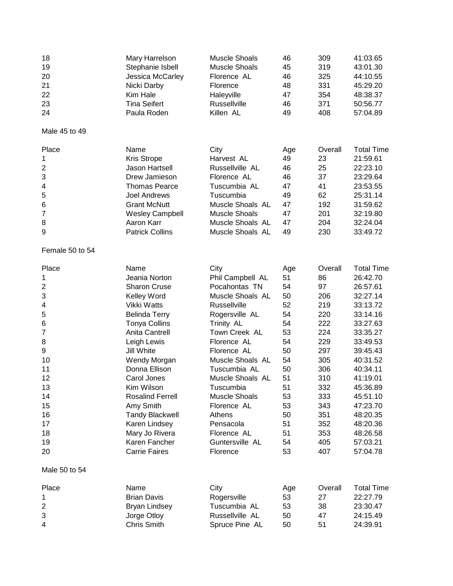| 18<br>19<br>20<br>21<br>22<br>23<br>24<br>Male 45 to 49 | Mary Harrelson<br>Stephanie Isbell<br>Jessica McCarley<br>Nicki Darby<br>Kim Hale<br><b>Tina Seifert</b><br>Paula Roden | <b>Muscle Shoals</b><br><b>Muscle Shoals</b><br>Florence AL<br>Florence<br>Haleyville<br>Russellville<br>Killen AL | 46<br>45<br>46<br>48<br>47<br>46<br>49 | 309<br>319<br>325<br>331<br>354<br>371<br>408 | 41:03.65<br>43:01.30<br>44:10.55<br>45:29.20<br>48:38.37<br>50:56.77<br>57:04.89 |
|---------------------------------------------------------|-------------------------------------------------------------------------------------------------------------------------|--------------------------------------------------------------------------------------------------------------------|----------------------------------------|-----------------------------------------------|----------------------------------------------------------------------------------|
|                                                         |                                                                                                                         |                                                                                                                    |                                        |                                               |                                                                                  |
| Place                                                   | Name                                                                                                                    | City                                                                                                               | Age                                    | Overall                                       | <b>Total Time</b>                                                                |
| 1                                                       | <b>Kris Strope</b>                                                                                                      | Harvest AL                                                                                                         | 49                                     | 23                                            | 21:59.61                                                                         |
| 2                                                       | Jason Hartsell                                                                                                          | Russellville AL                                                                                                    | 46                                     | 25                                            | 22:23.10                                                                         |
| 3                                                       | Drew Jamieson                                                                                                           | Florence AL                                                                                                        | 46                                     | 37                                            | 23:29.64                                                                         |
| 4                                                       | <b>Thomas Pearce</b>                                                                                                    | Tuscumbia AL                                                                                                       | 47                                     | 41                                            | 23:53.55                                                                         |
| 5                                                       | <b>Joel Andrews</b>                                                                                                     | Tuscumbia                                                                                                          | 49                                     | 62                                            | 25:31.14                                                                         |
| 6                                                       | <b>Grant McNutt</b>                                                                                                     | Muscle Shoals AL                                                                                                   | 47                                     | 192                                           | 31:59.62                                                                         |
| 7                                                       | <b>Wesley Campbell</b>                                                                                                  | <b>Muscle Shoals</b>                                                                                               | 47                                     | 201                                           | 32:19.80                                                                         |
| 8<br>9                                                  | Aaron Karr<br><b>Patrick Collins</b>                                                                                    | Muscle Shoals AL<br>Muscle Shoals AL                                                                               | 47<br>49                               | 204<br>230                                    | 32:24.04<br>33:49.72                                                             |
| Female 50 to 54                                         |                                                                                                                         |                                                                                                                    |                                        |                                               |                                                                                  |
| Place                                                   | Name                                                                                                                    | City                                                                                                               | Age                                    | Overall                                       | <b>Total Time</b>                                                                |
| 1                                                       | Jeania Norton                                                                                                           | Phil Campbell AL                                                                                                   | 51                                     | 86                                            | 26:42.70                                                                         |
| $\overline{2}$                                          | <b>Sharon Cruse</b>                                                                                                     | Pocahontas TN                                                                                                      | 54                                     | 97                                            | 26:57.61                                                                         |
| 3                                                       | Kelley Word                                                                                                             | Muscle Shoals AL                                                                                                   | 50                                     | 206                                           | 32:27.14                                                                         |
| 4                                                       | Vikki Watts                                                                                                             | <b>Russellville</b>                                                                                                | 52                                     | 219                                           | 33:13.72                                                                         |
| 5                                                       | <b>Belinda Terry</b>                                                                                                    | Rogersville AL                                                                                                     | 54                                     | 220                                           | 33:14.16                                                                         |
| 6                                                       | <b>Tonya Collins</b>                                                                                                    | Trinity AL                                                                                                         | 54                                     | 222                                           | 33:27.63                                                                         |
| 7                                                       | <b>Anita Cantrell</b>                                                                                                   | Town Creek AL                                                                                                      | 53                                     | 224                                           | 33:35.27                                                                         |
| 8                                                       | Leigh Lewis                                                                                                             | Florence AL                                                                                                        | 54                                     | 229                                           | 33:49.53                                                                         |
| 9                                                       | Jill White                                                                                                              | Florence AL                                                                                                        | 50                                     | 297                                           | 39:45.43                                                                         |
| 10                                                      | Wendy Morgan                                                                                                            | Muscle Shoals AL                                                                                                   | 54                                     | 305                                           | 40:31.52                                                                         |
| 11                                                      | Donna Ellison                                                                                                           | Tuscumbia AL                                                                                                       | 50                                     | 306                                           | 40:34.11                                                                         |
| 12                                                      | Carol Jones                                                                                                             | Muscle Shoals AL                                                                                                   | 51                                     | 310                                           | 41:19.01                                                                         |
| 13                                                      | Kim Wilson                                                                                                              | Tuscumbia                                                                                                          | 51                                     | 332                                           | 45:36.89                                                                         |
| 14                                                      | <b>Rosalind Ferrell</b>                                                                                                 | <b>Muscle Shoals</b>                                                                                               | 53                                     | 333                                           | 45:51.10                                                                         |
| 15                                                      | Amy Smith                                                                                                               | Florence AL                                                                                                        | 53                                     | 343                                           | 47:23.70                                                                         |
| 16                                                      | <b>Tandy Blackwell</b>                                                                                                  | Athens                                                                                                             | 50                                     | 351                                           | 48:20.35                                                                         |
| 17                                                      | Karen Lindsey                                                                                                           | Pensacola                                                                                                          | 51                                     | 352                                           | 48:20.36                                                                         |
| 18                                                      | Mary Jo Rivera                                                                                                          | Florence AL                                                                                                        | 51                                     | 353                                           | 48:26.58                                                                         |
| 19<br>20                                                | Karen Fancher<br><b>Carrie Faires</b>                                                                                   | Guntersville AL<br>Florence                                                                                        | 54<br>53                               | 405<br>407                                    | 57:03.21<br>57:04.78                                                             |
| Male 50 to 54                                           |                                                                                                                         |                                                                                                                    |                                        |                                               |                                                                                  |
| Place                                                   | Name                                                                                                                    | City                                                                                                               | Age                                    | Overall                                       | <b>Total Time</b>                                                                |
| 1                                                       | <b>Brian Davis</b>                                                                                                      | Rogersville                                                                                                        | 53                                     | 27                                            | 22:27.79                                                                         |
| $\overline{\mathbf{c}}$                                 | <b>Bryan Lindsey</b>                                                                                                    | Tuscumbia AL                                                                                                       | 53                                     | 38                                            | 23:30.47                                                                         |
| 3                                                       | Jorge Otloy                                                                                                             | Russellville AL                                                                                                    | 50                                     | 47                                            | 24:15.49                                                                         |
| 4                                                       | Chris Smith                                                                                                             | Spruce Pine AL                                                                                                     | 50                                     | 51                                            | 24:39.91                                                                         |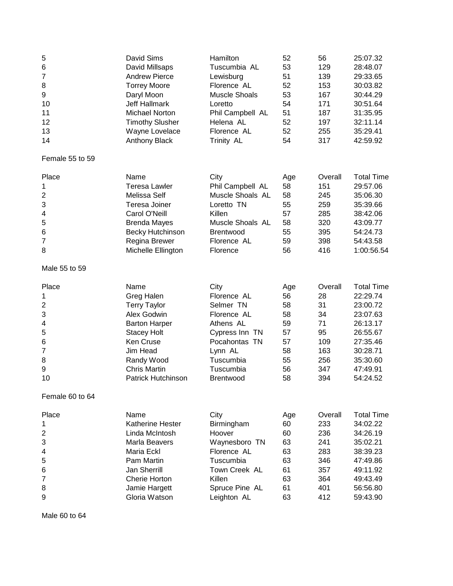| 7<br><b>Andrew Pierce</b><br>51<br>139<br>29:33.65<br>Lewisburg<br>8<br><b>Torrey Moore</b><br>Florence AL<br>52<br>153<br>30:03.82<br>9<br><b>Muscle Shoals</b><br>53<br>Daryl Moon<br>167<br>30:44.29<br><b>Jeff Hallmark</b><br>54<br>171<br>30:51.64<br>10<br>Loretto<br>51<br><b>Michael Norton</b><br>Phil Campbell AL<br>187<br>31:35.95<br>11<br>52<br>12<br><b>Timothy Slusher</b><br>197<br>32:11.14<br>Helena AL<br>13<br>52<br>Wayne Lovelace<br>Florence AL<br>255<br>35:29.41<br>54<br>317<br>14<br><b>Anthony Black</b><br>Trinity AL<br>42:59.92<br>Name<br>City<br><b>Total Time</b><br>Place<br>Overall<br>Age<br>29:57.06<br><b>Teresa Lawler</b><br>Phil Campbell AL<br>58<br>151<br>1<br>2<br>Muscle Shoals AL<br>Melissa Self<br>58<br>245<br>35:06.30<br>3<br>Teresa Joiner<br>Loretto TN<br>55<br>259<br>35:39.66<br>Carol O'Neill<br>Killen<br>57<br>285<br>38:42.06<br>4<br>5<br>Muscle Shoals AL<br>320<br><b>Brenda Mayes</b><br>58<br>43:09.77<br>6<br><b>Becky Hutchinson</b><br>Brentwood<br>55<br>395<br>54:24.73<br>7<br>Regina Brewer<br>Florence AL<br>59<br>398<br>54:43.58<br>56<br>416<br>8<br>Michelle Ellington<br>1:00:56.54<br>Florence<br>Male 55 to 59<br>Name<br>City<br>Overall<br>Place<br>Age<br>22:29.74<br>1<br>Greg Halen<br>Florence AL<br>56<br>28<br>$\overline{\mathbf{c}}$<br>58<br>31<br><b>Terry Taylor</b><br>Selmer TN<br>23:00.72<br>3<br>Alex Godwin<br>Florence AL<br>58<br>34<br>23:07.63<br>59<br>71<br>4<br><b>Barton Harper</b><br>Athens AL<br>26:13.17<br>5<br>95<br>Cypress Inn TN<br>57<br>26:55.67<br><b>Stacey Holt</b><br>6<br><b>Ken Cruse</b><br>Pocahontas TN<br>57<br>109<br>27:35.46<br>7<br>Jim Head<br>Lynn AL<br>58<br>163<br>30:28.71<br>8<br>Randy Wood<br>Tuscumbia<br>55<br>256<br>35:30.60<br>9<br><b>Chris Martin</b><br>Tuscumbia<br>56<br>347<br>47:49.91<br>58<br><b>Patrick Hutchinson</b><br>394<br>10<br><b>Brentwood</b><br>54:24.52<br>Female 60 to 64<br>Name<br>City<br>Overall<br>Place<br>Age<br>233<br>34:02.22<br><b>Katherine Hester</b><br>60<br>1<br>Birmingham<br>60<br>34:26.19<br>2<br>Linda McIntosh<br>Hoover<br>236<br>3<br>63<br>35:02.21<br>Marla Beavers<br>Waynesboro TN<br>241<br>Florence AL<br>63<br>283<br>4<br>Maria Eckl<br>38:39.23<br>Tuscumbia<br>63<br>5<br>Pam Martin<br>346<br>47:49.86<br>Jan Sherrill<br>Town Creek AL<br>6<br>61<br>357<br>49:11.92<br>Cherie Horton<br>Killen<br>63<br>364<br>7<br>49:43.49<br>8<br>Spruce Pine AL<br>Jamie Hargett<br>61<br>401<br>56:56.80<br>63<br>412<br>9<br>Gloria Watson<br>Leighton AL<br>59:43.90 | 5               | David Sims     | Hamilton     | 52 | 56  | 25:07.32          |
|-------------------------------------------------------------------------------------------------------------------------------------------------------------------------------------------------------------------------------------------------------------------------------------------------------------------------------------------------------------------------------------------------------------------------------------------------------------------------------------------------------------------------------------------------------------------------------------------------------------------------------------------------------------------------------------------------------------------------------------------------------------------------------------------------------------------------------------------------------------------------------------------------------------------------------------------------------------------------------------------------------------------------------------------------------------------------------------------------------------------------------------------------------------------------------------------------------------------------------------------------------------------------------------------------------------------------------------------------------------------------------------------------------------------------------------------------------------------------------------------------------------------------------------------------------------------------------------------------------------------------------------------------------------------------------------------------------------------------------------------------------------------------------------------------------------------------------------------------------------------------------------------------------------------------------------------------------------------------------------------------------------------------------------------------------------------------------------------------------------------------------------------------------------------------------------------------------------------------------------------------------------------------------------------------------------------------------------------------------------------------------------------------------------------------------------------------------------------------------------------------------------------------------------------------------------------------------|-----------------|----------------|--------------|----|-----|-------------------|
|                                                                                                                                                                                                                                                                                                                                                                                                                                                                                                                                                                                                                                                                                                                                                                                                                                                                                                                                                                                                                                                                                                                                                                                                                                                                                                                                                                                                                                                                                                                                                                                                                                                                                                                                                                                                                                                                                                                                                                                                                                                                                                                                                                                                                                                                                                                                                                                                                                                                                                                                                                               | 6               | David Millsaps | Tuscumbia AL | 53 | 129 | 28:48.07          |
|                                                                                                                                                                                                                                                                                                                                                                                                                                                                                                                                                                                                                                                                                                                                                                                                                                                                                                                                                                                                                                                                                                                                                                                                                                                                                                                                                                                                                                                                                                                                                                                                                                                                                                                                                                                                                                                                                                                                                                                                                                                                                                                                                                                                                                                                                                                                                                                                                                                                                                                                                                               |                 |                |              |    |     |                   |
|                                                                                                                                                                                                                                                                                                                                                                                                                                                                                                                                                                                                                                                                                                                                                                                                                                                                                                                                                                                                                                                                                                                                                                                                                                                                                                                                                                                                                                                                                                                                                                                                                                                                                                                                                                                                                                                                                                                                                                                                                                                                                                                                                                                                                                                                                                                                                                                                                                                                                                                                                                               |                 |                |              |    |     |                   |
|                                                                                                                                                                                                                                                                                                                                                                                                                                                                                                                                                                                                                                                                                                                                                                                                                                                                                                                                                                                                                                                                                                                                                                                                                                                                                                                                                                                                                                                                                                                                                                                                                                                                                                                                                                                                                                                                                                                                                                                                                                                                                                                                                                                                                                                                                                                                                                                                                                                                                                                                                                               |                 |                |              |    |     |                   |
|                                                                                                                                                                                                                                                                                                                                                                                                                                                                                                                                                                                                                                                                                                                                                                                                                                                                                                                                                                                                                                                                                                                                                                                                                                                                                                                                                                                                                                                                                                                                                                                                                                                                                                                                                                                                                                                                                                                                                                                                                                                                                                                                                                                                                                                                                                                                                                                                                                                                                                                                                                               |                 |                |              |    |     |                   |
|                                                                                                                                                                                                                                                                                                                                                                                                                                                                                                                                                                                                                                                                                                                                                                                                                                                                                                                                                                                                                                                                                                                                                                                                                                                                                                                                                                                                                                                                                                                                                                                                                                                                                                                                                                                                                                                                                                                                                                                                                                                                                                                                                                                                                                                                                                                                                                                                                                                                                                                                                                               |                 |                |              |    |     |                   |
|                                                                                                                                                                                                                                                                                                                                                                                                                                                                                                                                                                                                                                                                                                                                                                                                                                                                                                                                                                                                                                                                                                                                                                                                                                                                                                                                                                                                                                                                                                                                                                                                                                                                                                                                                                                                                                                                                                                                                                                                                                                                                                                                                                                                                                                                                                                                                                                                                                                                                                                                                                               |                 |                |              |    |     |                   |
|                                                                                                                                                                                                                                                                                                                                                                                                                                                                                                                                                                                                                                                                                                                                                                                                                                                                                                                                                                                                                                                                                                                                                                                                                                                                                                                                                                                                                                                                                                                                                                                                                                                                                                                                                                                                                                                                                                                                                                                                                                                                                                                                                                                                                                                                                                                                                                                                                                                                                                                                                                               |                 |                |              |    |     |                   |
|                                                                                                                                                                                                                                                                                                                                                                                                                                                                                                                                                                                                                                                                                                                                                                                                                                                                                                                                                                                                                                                                                                                                                                                                                                                                                                                                                                                                                                                                                                                                                                                                                                                                                                                                                                                                                                                                                                                                                                                                                                                                                                                                                                                                                                                                                                                                                                                                                                                                                                                                                                               | Female 55 to 59 |                |              |    |     |                   |
|                                                                                                                                                                                                                                                                                                                                                                                                                                                                                                                                                                                                                                                                                                                                                                                                                                                                                                                                                                                                                                                                                                                                                                                                                                                                                                                                                                                                                                                                                                                                                                                                                                                                                                                                                                                                                                                                                                                                                                                                                                                                                                                                                                                                                                                                                                                                                                                                                                                                                                                                                                               |                 |                |              |    |     |                   |
|                                                                                                                                                                                                                                                                                                                                                                                                                                                                                                                                                                                                                                                                                                                                                                                                                                                                                                                                                                                                                                                                                                                                                                                                                                                                                                                                                                                                                                                                                                                                                                                                                                                                                                                                                                                                                                                                                                                                                                                                                                                                                                                                                                                                                                                                                                                                                                                                                                                                                                                                                                               |                 |                |              |    |     |                   |
|                                                                                                                                                                                                                                                                                                                                                                                                                                                                                                                                                                                                                                                                                                                                                                                                                                                                                                                                                                                                                                                                                                                                                                                                                                                                                                                                                                                                                                                                                                                                                                                                                                                                                                                                                                                                                                                                                                                                                                                                                                                                                                                                                                                                                                                                                                                                                                                                                                                                                                                                                                               |                 |                |              |    |     |                   |
|                                                                                                                                                                                                                                                                                                                                                                                                                                                                                                                                                                                                                                                                                                                                                                                                                                                                                                                                                                                                                                                                                                                                                                                                                                                                                                                                                                                                                                                                                                                                                                                                                                                                                                                                                                                                                                                                                                                                                                                                                                                                                                                                                                                                                                                                                                                                                                                                                                                                                                                                                                               |                 |                |              |    |     |                   |
|                                                                                                                                                                                                                                                                                                                                                                                                                                                                                                                                                                                                                                                                                                                                                                                                                                                                                                                                                                                                                                                                                                                                                                                                                                                                                                                                                                                                                                                                                                                                                                                                                                                                                                                                                                                                                                                                                                                                                                                                                                                                                                                                                                                                                                                                                                                                                                                                                                                                                                                                                                               |                 |                |              |    |     |                   |
|                                                                                                                                                                                                                                                                                                                                                                                                                                                                                                                                                                                                                                                                                                                                                                                                                                                                                                                                                                                                                                                                                                                                                                                                                                                                                                                                                                                                                                                                                                                                                                                                                                                                                                                                                                                                                                                                                                                                                                                                                                                                                                                                                                                                                                                                                                                                                                                                                                                                                                                                                                               |                 |                |              |    |     |                   |
|                                                                                                                                                                                                                                                                                                                                                                                                                                                                                                                                                                                                                                                                                                                                                                                                                                                                                                                                                                                                                                                                                                                                                                                                                                                                                                                                                                                                                                                                                                                                                                                                                                                                                                                                                                                                                                                                                                                                                                                                                                                                                                                                                                                                                                                                                                                                                                                                                                                                                                                                                                               |                 |                |              |    |     |                   |
|                                                                                                                                                                                                                                                                                                                                                                                                                                                                                                                                                                                                                                                                                                                                                                                                                                                                                                                                                                                                                                                                                                                                                                                                                                                                                                                                                                                                                                                                                                                                                                                                                                                                                                                                                                                                                                                                                                                                                                                                                                                                                                                                                                                                                                                                                                                                                                                                                                                                                                                                                                               |                 |                |              |    |     |                   |
|                                                                                                                                                                                                                                                                                                                                                                                                                                                                                                                                                                                                                                                                                                                                                                                                                                                                                                                                                                                                                                                                                                                                                                                                                                                                                                                                                                                                                                                                                                                                                                                                                                                                                                                                                                                                                                                                                                                                                                                                                                                                                                                                                                                                                                                                                                                                                                                                                                                                                                                                                                               |                 |                |              |    |     |                   |
|                                                                                                                                                                                                                                                                                                                                                                                                                                                                                                                                                                                                                                                                                                                                                                                                                                                                                                                                                                                                                                                                                                                                                                                                                                                                                                                                                                                                                                                                                                                                                                                                                                                                                                                                                                                                                                                                                                                                                                                                                                                                                                                                                                                                                                                                                                                                                                                                                                                                                                                                                                               |                 |                |              |    |     |                   |
|                                                                                                                                                                                                                                                                                                                                                                                                                                                                                                                                                                                                                                                                                                                                                                                                                                                                                                                                                                                                                                                                                                                                                                                                                                                                                                                                                                                                                                                                                                                                                                                                                                                                                                                                                                                                                                                                                                                                                                                                                                                                                                                                                                                                                                                                                                                                                                                                                                                                                                                                                                               |                 |                |              |    |     |                   |
|                                                                                                                                                                                                                                                                                                                                                                                                                                                                                                                                                                                                                                                                                                                                                                                                                                                                                                                                                                                                                                                                                                                                                                                                                                                                                                                                                                                                                                                                                                                                                                                                                                                                                                                                                                                                                                                                                                                                                                                                                                                                                                                                                                                                                                                                                                                                                                                                                                                                                                                                                                               |                 |                |              |    |     | <b>Total Time</b> |
|                                                                                                                                                                                                                                                                                                                                                                                                                                                                                                                                                                                                                                                                                                                                                                                                                                                                                                                                                                                                                                                                                                                                                                                                                                                                                                                                                                                                                                                                                                                                                                                                                                                                                                                                                                                                                                                                                                                                                                                                                                                                                                                                                                                                                                                                                                                                                                                                                                                                                                                                                                               |                 |                |              |    |     |                   |
|                                                                                                                                                                                                                                                                                                                                                                                                                                                                                                                                                                                                                                                                                                                                                                                                                                                                                                                                                                                                                                                                                                                                                                                                                                                                                                                                                                                                                                                                                                                                                                                                                                                                                                                                                                                                                                                                                                                                                                                                                                                                                                                                                                                                                                                                                                                                                                                                                                                                                                                                                                               |                 |                |              |    |     |                   |
|                                                                                                                                                                                                                                                                                                                                                                                                                                                                                                                                                                                                                                                                                                                                                                                                                                                                                                                                                                                                                                                                                                                                                                                                                                                                                                                                                                                                                                                                                                                                                                                                                                                                                                                                                                                                                                                                                                                                                                                                                                                                                                                                                                                                                                                                                                                                                                                                                                                                                                                                                                               |                 |                |              |    |     |                   |
|                                                                                                                                                                                                                                                                                                                                                                                                                                                                                                                                                                                                                                                                                                                                                                                                                                                                                                                                                                                                                                                                                                                                                                                                                                                                                                                                                                                                                                                                                                                                                                                                                                                                                                                                                                                                                                                                                                                                                                                                                                                                                                                                                                                                                                                                                                                                                                                                                                                                                                                                                                               |                 |                |              |    |     |                   |
|                                                                                                                                                                                                                                                                                                                                                                                                                                                                                                                                                                                                                                                                                                                                                                                                                                                                                                                                                                                                                                                                                                                                                                                                                                                                                                                                                                                                                                                                                                                                                                                                                                                                                                                                                                                                                                                                                                                                                                                                                                                                                                                                                                                                                                                                                                                                                                                                                                                                                                                                                                               |                 |                |              |    |     |                   |
|                                                                                                                                                                                                                                                                                                                                                                                                                                                                                                                                                                                                                                                                                                                                                                                                                                                                                                                                                                                                                                                                                                                                                                                                                                                                                                                                                                                                                                                                                                                                                                                                                                                                                                                                                                                                                                                                                                                                                                                                                                                                                                                                                                                                                                                                                                                                                                                                                                                                                                                                                                               |                 |                |              |    |     |                   |
|                                                                                                                                                                                                                                                                                                                                                                                                                                                                                                                                                                                                                                                                                                                                                                                                                                                                                                                                                                                                                                                                                                                                                                                                                                                                                                                                                                                                                                                                                                                                                                                                                                                                                                                                                                                                                                                                                                                                                                                                                                                                                                                                                                                                                                                                                                                                                                                                                                                                                                                                                                               |                 |                |              |    |     |                   |
|                                                                                                                                                                                                                                                                                                                                                                                                                                                                                                                                                                                                                                                                                                                                                                                                                                                                                                                                                                                                                                                                                                                                                                                                                                                                                                                                                                                                                                                                                                                                                                                                                                                                                                                                                                                                                                                                                                                                                                                                                                                                                                                                                                                                                                                                                                                                                                                                                                                                                                                                                                               |                 |                |              |    |     |                   |
|                                                                                                                                                                                                                                                                                                                                                                                                                                                                                                                                                                                                                                                                                                                                                                                                                                                                                                                                                                                                                                                                                                                                                                                                                                                                                                                                                                                                                                                                                                                                                                                                                                                                                                                                                                                                                                                                                                                                                                                                                                                                                                                                                                                                                                                                                                                                                                                                                                                                                                                                                                               |                 |                |              |    |     |                   |
|                                                                                                                                                                                                                                                                                                                                                                                                                                                                                                                                                                                                                                                                                                                                                                                                                                                                                                                                                                                                                                                                                                                                                                                                                                                                                                                                                                                                                                                                                                                                                                                                                                                                                                                                                                                                                                                                                                                                                                                                                                                                                                                                                                                                                                                                                                                                                                                                                                                                                                                                                                               |                 |                |              |    |     |                   |
|                                                                                                                                                                                                                                                                                                                                                                                                                                                                                                                                                                                                                                                                                                                                                                                                                                                                                                                                                                                                                                                                                                                                                                                                                                                                                                                                                                                                                                                                                                                                                                                                                                                                                                                                                                                                                                                                                                                                                                                                                                                                                                                                                                                                                                                                                                                                                                                                                                                                                                                                                                               |                 |                |              |    |     |                   |
|                                                                                                                                                                                                                                                                                                                                                                                                                                                                                                                                                                                                                                                                                                                                                                                                                                                                                                                                                                                                                                                                                                                                                                                                                                                                                                                                                                                                                                                                                                                                                                                                                                                                                                                                                                                                                                                                                                                                                                                                                                                                                                                                                                                                                                                                                                                                                                                                                                                                                                                                                                               |                 |                |              |    |     | <b>Total Time</b> |
|                                                                                                                                                                                                                                                                                                                                                                                                                                                                                                                                                                                                                                                                                                                                                                                                                                                                                                                                                                                                                                                                                                                                                                                                                                                                                                                                                                                                                                                                                                                                                                                                                                                                                                                                                                                                                                                                                                                                                                                                                                                                                                                                                                                                                                                                                                                                                                                                                                                                                                                                                                               |                 |                |              |    |     |                   |
|                                                                                                                                                                                                                                                                                                                                                                                                                                                                                                                                                                                                                                                                                                                                                                                                                                                                                                                                                                                                                                                                                                                                                                                                                                                                                                                                                                                                                                                                                                                                                                                                                                                                                                                                                                                                                                                                                                                                                                                                                                                                                                                                                                                                                                                                                                                                                                                                                                                                                                                                                                               |                 |                |              |    |     |                   |
|                                                                                                                                                                                                                                                                                                                                                                                                                                                                                                                                                                                                                                                                                                                                                                                                                                                                                                                                                                                                                                                                                                                                                                                                                                                                                                                                                                                                                                                                                                                                                                                                                                                                                                                                                                                                                                                                                                                                                                                                                                                                                                                                                                                                                                                                                                                                                                                                                                                                                                                                                                               |                 |                |              |    |     |                   |
|                                                                                                                                                                                                                                                                                                                                                                                                                                                                                                                                                                                                                                                                                                                                                                                                                                                                                                                                                                                                                                                                                                                                                                                                                                                                                                                                                                                                                                                                                                                                                                                                                                                                                                                                                                                                                                                                                                                                                                                                                                                                                                                                                                                                                                                                                                                                                                                                                                                                                                                                                                               |                 |                |              |    |     |                   |
|                                                                                                                                                                                                                                                                                                                                                                                                                                                                                                                                                                                                                                                                                                                                                                                                                                                                                                                                                                                                                                                                                                                                                                                                                                                                                                                                                                                                                                                                                                                                                                                                                                                                                                                                                                                                                                                                                                                                                                                                                                                                                                                                                                                                                                                                                                                                                                                                                                                                                                                                                                               |                 |                |              |    |     |                   |
|                                                                                                                                                                                                                                                                                                                                                                                                                                                                                                                                                                                                                                                                                                                                                                                                                                                                                                                                                                                                                                                                                                                                                                                                                                                                                                                                                                                                                                                                                                                                                                                                                                                                                                                                                                                                                                                                                                                                                                                                                                                                                                                                                                                                                                                                                                                                                                                                                                                                                                                                                                               |                 |                |              |    |     |                   |
|                                                                                                                                                                                                                                                                                                                                                                                                                                                                                                                                                                                                                                                                                                                                                                                                                                                                                                                                                                                                                                                                                                                                                                                                                                                                                                                                                                                                                                                                                                                                                                                                                                                                                                                                                                                                                                                                                                                                                                                                                                                                                                                                                                                                                                                                                                                                                                                                                                                                                                                                                                               |                 |                |              |    |     |                   |
|                                                                                                                                                                                                                                                                                                                                                                                                                                                                                                                                                                                                                                                                                                                                                                                                                                                                                                                                                                                                                                                                                                                                                                                                                                                                                                                                                                                                                                                                                                                                                                                                                                                                                                                                                                                                                                                                                                                                                                                                                                                                                                                                                                                                                                                                                                                                                                                                                                                                                                                                                                               |                 |                |              |    |     |                   |
|                                                                                                                                                                                                                                                                                                                                                                                                                                                                                                                                                                                                                                                                                                                                                                                                                                                                                                                                                                                                                                                                                                                                                                                                                                                                                                                                                                                                                                                                                                                                                                                                                                                                                                                                                                                                                                                                                                                                                                                                                                                                                                                                                                                                                                                                                                                                                                                                                                                                                                                                                                               |                 |                |              |    |     |                   |

Male 60 to 64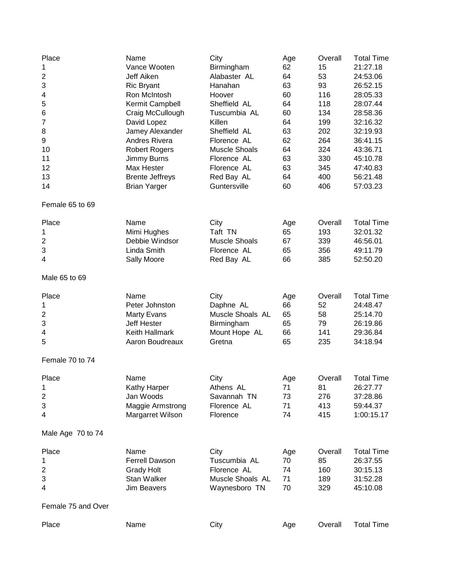| Place<br>1<br>$\overline{\mathbf{c}}$<br>3<br>4<br>5<br>6<br>$\overline{7}$<br>8<br>9<br>10<br>11<br>12<br>13<br>14 | Name<br>Vance Wooten<br>Jeff Aiken<br><b>Ric Bryant</b><br>Ron McIntosh<br>Kermit Campbell<br>Craig McCullough<br>David Lopez<br>Jamey Alexander<br><b>Andres Rivera</b><br><b>Robert Rogers</b><br>Jimmy Burns<br>Max Hester<br><b>Brente Jeffreys</b><br><b>Brian Yarger</b> | City<br>Birmingham<br>Alabaster AL<br>Hanahan<br>Hoover<br>Sheffield AL<br>Tuscumbia AL<br>Killen<br>Sheffield AL<br>Florence AL<br>Muscle Shoals<br>Florence AL<br>Florence AL<br>Red Bay AL<br>Guntersville | Age<br>62<br>64<br>63<br>60<br>64<br>60<br>64<br>63<br>62<br>64<br>63<br>63<br>64<br>60 | Overall<br>15<br>53<br>93<br>116<br>118<br>134<br>199<br>202<br>264<br>324<br>330<br>345<br>400<br>406 | <b>Total Time</b><br>21:27.18<br>24:53.06<br>26:52.15<br>28:05.33<br>28:07.44<br>28:58.36<br>32:16.32<br>32:19.93<br>36:41.15<br>43:36.71<br>45:10.78<br>47:40.83<br>56:21.48<br>57:03.23 |
|---------------------------------------------------------------------------------------------------------------------|--------------------------------------------------------------------------------------------------------------------------------------------------------------------------------------------------------------------------------------------------------------------------------|---------------------------------------------------------------------------------------------------------------------------------------------------------------------------------------------------------------|-----------------------------------------------------------------------------------------|--------------------------------------------------------------------------------------------------------|-------------------------------------------------------------------------------------------------------------------------------------------------------------------------------------------|
| Female 65 to 69                                                                                                     |                                                                                                                                                                                                                                                                                |                                                                                                                                                                                                               |                                                                                         |                                                                                                        |                                                                                                                                                                                           |
| Place<br>1<br>2<br>3<br>4                                                                                           | Name<br>Mimi Hughes<br>Debbie Windsor<br>Linda Smith<br>Sally Moore                                                                                                                                                                                                            | City<br>Taft TN<br><b>Muscle Shoals</b><br>Florence AL<br>Red Bay AL                                                                                                                                          | Age<br>65<br>67<br>65<br>66                                                             | Overall<br>193<br>339<br>356<br>385                                                                    | <b>Total Time</b><br>32:01.32<br>46:56.01<br>49:11.79<br>52:50.20                                                                                                                         |
| Male 65 to 69                                                                                                       |                                                                                                                                                                                                                                                                                |                                                                                                                                                                                                               |                                                                                         |                                                                                                        |                                                                                                                                                                                           |
| Place<br>1<br>$\overline{\mathbf{c}}$<br>3<br>4<br>5                                                                | Name<br>Peter Johnston<br><b>Marty Evans</b><br>Jeff Hester<br>Keith Hallmark<br>Aaron Boudreaux                                                                                                                                                                               | City<br>Daphne AL<br>Muscle Shoals AL<br>Birmingham<br>Mount Hope AL<br>Gretna                                                                                                                                | Age<br>66<br>65<br>65<br>66<br>65                                                       | Overall<br>52<br>58<br>79<br>141<br>235                                                                | <b>Total Time</b><br>24:48.47<br>25:14.70<br>26:19.86<br>29:36.84<br>34:18.94                                                                                                             |
| Female 70 to 74                                                                                                     |                                                                                                                                                                                                                                                                                |                                                                                                                                                                                                               |                                                                                         |                                                                                                        |                                                                                                                                                                                           |
| Place<br>1<br>$\boldsymbol{2}$<br>3<br>4                                                                            | Name<br>Kathy Harper<br>Jan Woods<br>Maggie Armstrong<br>Margarret Wilson                                                                                                                                                                                                      | City<br>Athens AL<br>Savannah TN<br>Florence AL<br>Florence                                                                                                                                                   | Age<br>$\sqrt{1}$<br>73<br>71<br>74                                                     | Overall<br>81<br>276<br>413<br>415                                                                     | <b>Total Time</b><br>26:27.77<br>37:28.86<br>59:44.37<br>1:00:15.17                                                                                                                       |
| Male Age 70 to 74                                                                                                   |                                                                                                                                                                                                                                                                                |                                                                                                                                                                                                               |                                                                                         |                                                                                                        |                                                                                                                                                                                           |
| Place<br>1<br>$\overline{\mathbf{c}}$<br>3<br>4                                                                     | Name<br><b>Ferrell Dawson</b><br><b>Grady Holt</b><br>Stan Walker<br><b>Jim Beavers</b>                                                                                                                                                                                        | City<br>Tuscumbia AL<br>Florence AL<br>Muscle Shoals AL<br>Waynesboro TN                                                                                                                                      | Age<br>70<br>74<br>71<br>70                                                             | Overall<br>85<br>160<br>189<br>329                                                                     | <b>Total Time</b><br>26:37.55<br>30:15.13<br>31:52.28<br>45:10.08                                                                                                                         |
| Female 75 and Over                                                                                                  |                                                                                                                                                                                                                                                                                |                                                                                                                                                                                                               |                                                                                         |                                                                                                        |                                                                                                                                                                                           |
| Place                                                                                                               | Name                                                                                                                                                                                                                                                                           | City                                                                                                                                                                                                          | Age                                                                                     | Overall                                                                                                | <b>Total Time</b>                                                                                                                                                                         |